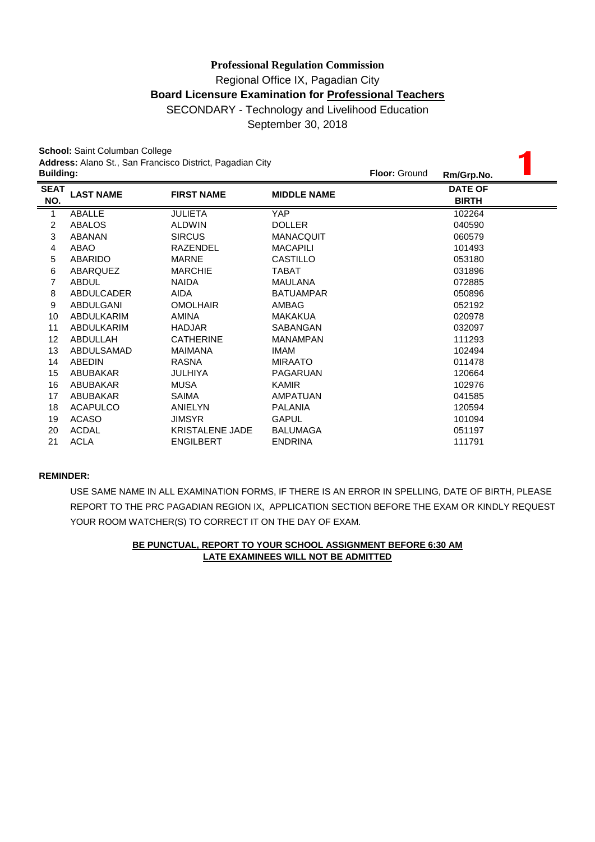**School:** Saint Columban College

| <b>School: Saint Columban College</b> |                                             |                    |                                                                                          |                      |                                              |  |  |
|---------------------------------------|---------------------------------------------|--------------------|------------------------------------------------------------------------------------------|----------------------|----------------------------------------------|--|--|
|                                       |                                             |                    |                                                                                          |                      |                                              |  |  |
|                                       |                                             |                    |                                                                                          |                      |                                              |  |  |
| <b>LAST NAME</b>                      | <b>FIRST NAME</b>                           | <b>MIDDLE NAME</b> |                                                                                          |                      |                                              |  |  |
|                                       |                                             |                    |                                                                                          |                      |                                              |  |  |
|                                       | JULIETA                                     |                    |                                                                                          | 102264               |                                              |  |  |
|                                       | <b>ALDWIN</b>                               |                    |                                                                                          | 040590               |                                              |  |  |
| <b>ABANAN</b>                         | <b>SIRCUS</b>                               | <b>MANACQUIT</b>   |                                                                                          | 060579               |                                              |  |  |
| ABAO                                  | <b>RAZENDEL</b>                             | <b>MACAPILI</b>    |                                                                                          | 101493               |                                              |  |  |
| ABARIDO                               | <b>MARNE</b>                                | <b>CASTILLO</b>    |                                                                                          | 053180               |                                              |  |  |
| ABARQUEZ                              | <b>MARCHIE</b>                              | TABAT              |                                                                                          | 031896               |                                              |  |  |
| <b>ABDUL</b>                          | <b>NAIDA</b>                                | <b>MAULANA</b>     |                                                                                          | 072885               |                                              |  |  |
| ABDULCADER                            | <b>AIDA</b>                                 | <b>BATUAMPAR</b>   |                                                                                          | 050896               |                                              |  |  |
| ABDULGANI                             | <b>OMOLHAIR</b>                             | AMBAG              |                                                                                          | 052192               |                                              |  |  |
| ABDULKARIM                            | <b>AMINA</b>                                | <b>MAKAKUA</b>     |                                                                                          | 020978               |                                              |  |  |
| ABDULKARIM                            | <b>HADJAR</b>                               | SABANGAN           |                                                                                          | 032097               |                                              |  |  |
| ABDULLAH                              | <b>CATHERINE</b>                            | <b>MANAMPAN</b>    |                                                                                          | 111293               |                                              |  |  |
| ABDULSAMAD                            | <b>MAIMANA</b>                              | <b>IMAM</b>        |                                                                                          | 102494               |                                              |  |  |
| <b>ABEDIN</b>                         | <b>RASNA</b>                                | <b>MIRAATO</b>     |                                                                                          | 011478               |                                              |  |  |
| ABUBAKAR                              | JULHIYA                                     | PAGARUAN           |                                                                                          | 120664               |                                              |  |  |
| ABUBAKAR                              | <b>MUSA</b>                                 | <b>KAMIR</b>       |                                                                                          | 102976               |                                              |  |  |
| ABUBAKAR                              | <b>SAIMA</b>                                | <b>AMPATUAN</b>    |                                                                                          | 041585               |                                              |  |  |
| <b>ACAPULCO</b>                       | ANIELYN                                     | <b>PALANIA</b>     |                                                                                          | 120594               |                                              |  |  |
| <b>ACASO</b>                          | <b>JIMSYR</b>                               | <b>GAPUL</b>       |                                                                                          | 101094               |                                              |  |  |
| <b>ACDAL</b>                          | <b>KRISTALENE JADE</b>                      | <b>BALUMAGA</b>    |                                                                                          | 051197               |                                              |  |  |
| <b>ACLA</b>                           | <b>ENGILBERT</b>                            | <b>ENDRINA</b>     |                                                                                          | 111791               |                                              |  |  |
|                                       | <b>Building:</b><br>ABALLE<br><b>ABALOS</b> |                    | Address: Alano St., San Francisco District, Pagadian City<br><b>YAP</b><br><b>DOLLER</b> | <b>Floor: Ground</b> | Rm/Grp.No.<br><b>DATE OF</b><br><b>BIRTH</b> |  |  |

## **REMINDER:**

USE SAME NAME IN ALL EXAMINATION FORMS, IF THERE IS AN ERROR IN SPELLING, DATE OF BIRTH, PLEASE REPORT TO THE PRC PAGADIAN REGION IX, APPLICATION SECTION BEFORE THE EXAM OR KINDLY REQUEST YOUR ROOM WATCHER(S) TO CORRECT IT ON THE DAY OF EXAM.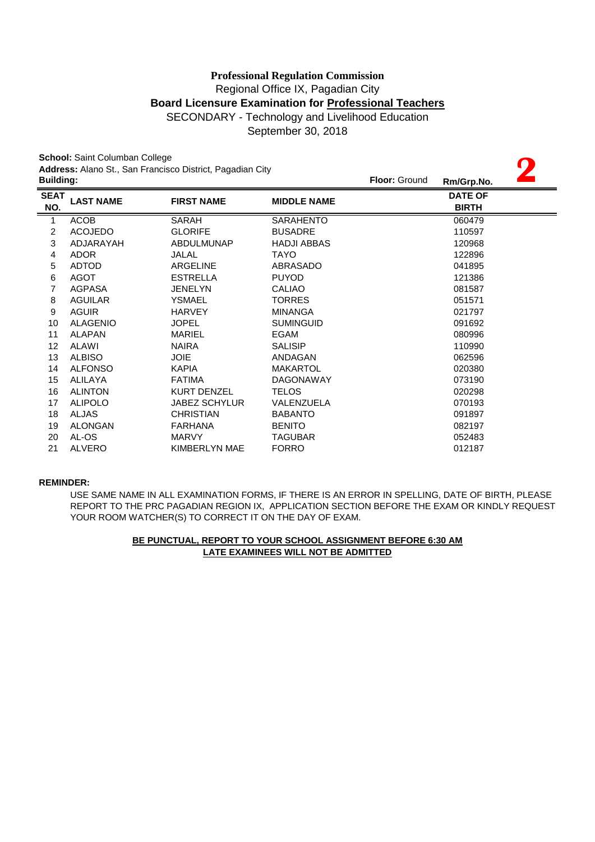September 30, 2018

**2**

**School:** Saint Columban College **Address:** Alano St., San Francisco District, Pagadian City

| <b>Building:</b>   |                  |                      |                    | Floor: Ground | $\overline{\phantom{0}}$<br>Rm/Grp.No. |
|--------------------|------------------|----------------------|--------------------|---------------|----------------------------------------|
| <b>SEAT</b><br>NO. | <b>LAST NAME</b> | <b>FIRST NAME</b>    | <b>MIDDLE NAME</b> |               | <b>DATE OF</b><br><b>BIRTH</b>         |
| 1                  | <b>ACOB</b>      | SARAH                | <b>SARAHENTO</b>   |               | 060479                                 |
| 2                  | <b>ACOJEDO</b>   | <b>GLORIFE</b>       | <b>BUSADRE</b>     |               | 110597                                 |
| 3                  | ADJARAYAH        | <b>ABDULMUNAP</b>    | <b>HADJI ABBAS</b> |               | 120968                                 |
| 4                  | <b>ADOR</b>      | JALAL                | <b>TAYO</b>        |               | 122896                                 |
| 5                  | <b>ADTOD</b>     | <b>ARGELINE</b>      | ABRASADO           |               | 041895                                 |
| 6                  | <b>AGOT</b>      | <b>ESTRELLA</b>      | <b>PUYOD</b>       |               | 121386                                 |
| 7                  | AGPASA           | <b>JENELYN</b>       | <b>CALIAO</b>      |               | 081587                                 |
| 8                  | <b>AGUILAR</b>   | YSMAEL               | <b>TORRES</b>      |               | 051571                                 |
| 9                  | <b>AGUIR</b>     | <b>HARVEY</b>        | <b>MINANGA</b>     |               | 021797                                 |
| 10                 | <b>ALAGENIO</b>  | <b>JOPEL</b>         | <b>SUMINGUID</b>   |               | 091692                                 |
| 11                 | <b>ALAPAN</b>    | <b>MARIEL</b>        | EGAM               |               | 080996                                 |
| 12                 | ALAWI            | <b>NAIRA</b>         | <b>SALISIP</b>     |               | 110990                                 |
| 13                 | <b>ALBISO</b>    | <b>JOIE</b>          | ANDAGAN            |               | 062596                                 |
| 14                 | <b>ALFONSO</b>   | <b>KAPIA</b>         | <b>MAKARTOL</b>    |               | 020380                                 |
| 15                 | <b>ALILAYA</b>   | <b>FATIMA</b>        | <b>DAGONAWAY</b>   |               | 073190                                 |
| 16                 | <b>ALINTON</b>   | <b>KURT DENZEL</b>   | <b>TELOS</b>       |               | 020298                                 |
| 17                 | <b>ALIPOLO</b>   | <b>JABEZ SCHYLUR</b> | VALENZUELA         |               | 070193                                 |
| 18                 | <b>ALJAS</b>     | <b>CHRISTIAN</b>     | <b>BABANTO</b>     |               | 091897                                 |
| 19                 | <b>ALONGAN</b>   | <b>FARHANA</b>       | <b>BENITO</b>      |               | 082197                                 |
| 20                 | AL-OS            | <b>MARVY</b>         | <b>TAGUBAR</b>     |               | 052483                                 |
| 21                 | <b>ALVERO</b>    | KIMBERLYN MAE        | <b>FORRO</b>       |               | 012187                                 |

#### **REMINDER:**

REPORT TO THE PRC PAGADIAN REGION IX, APPLICATION SECTION BEFORE THE EXAM OR KINDLY REQUEST YOUR ROOM WATCHER(S) TO CORRECT IT ON THE DAY OF EXAM. USE SAME NAME IN ALL EXAMINATION FORMS, IF THERE IS AN ERROR IN SPELLING, DATE OF BIRTH, PLEASE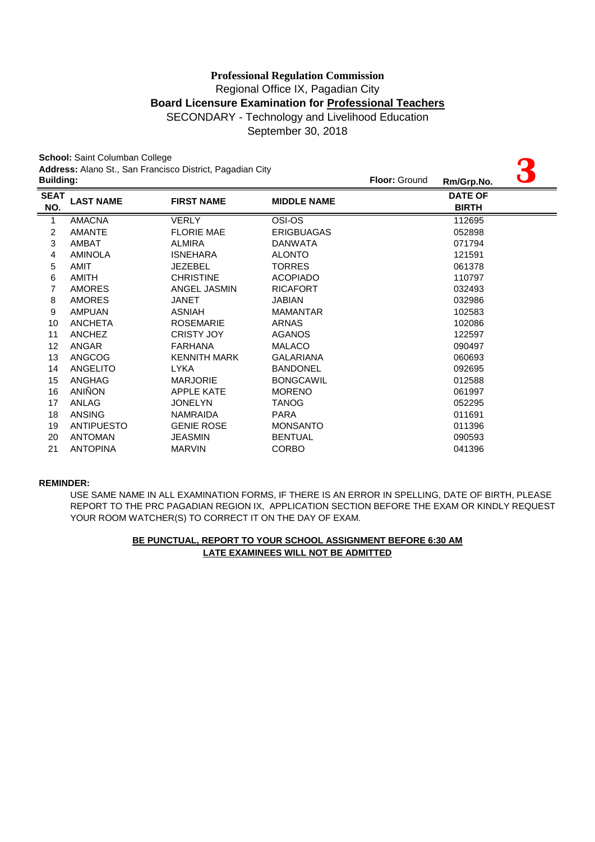September 30, 2018

**3**

**School:** Saint Columban College **Address:** Alano St., San Francisco District, Pagadian City

| <b>Building:</b>   |                   |                     |                    | <b>Floor: Ground</b> | Rm/Grp.No.                     | $\mathbf C$ |
|--------------------|-------------------|---------------------|--------------------|----------------------|--------------------------------|-------------|
| <b>SEAT</b><br>NO. | <b>LAST NAME</b>  | <b>FIRST NAME</b>   | <b>MIDDLE NAME</b> |                      | <b>DATE OF</b><br><b>BIRTH</b> |             |
| 1                  | <b>AMACNA</b>     | <b>VERLY</b>        | OSI-OS             |                      | 112695                         |             |
| 2                  | <b>AMANTE</b>     | <b>FLORIE MAE</b>   | <b>ERIGBUAGAS</b>  |                      | 052898                         |             |
| 3                  | <b>AMBAT</b>      | <b>ALMIRA</b>       | <b>DANWATA</b>     |                      | 071794                         |             |
| 4                  | <b>AMINOLA</b>    | <b>ISNEHARA</b>     | <b>ALONTO</b>      |                      | 121591                         |             |
| 5                  | <b>AMIT</b>       | <b>JEZEBEL</b>      | <b>TORRES</b>      |                      | 061378                         |             |
| 6                  | AMITH             | <b>CHRISTINE</b>    | <b>ACOPIADO</b>    |                      | 110797                         |             |
| 7                  | <b>AMORES</b>     | ANGEL JASMIN        | <b>RICAFORT</b>    |                      | 032493                         |             |
| 8                  | <b>AMORES</b>     | <b>JANET</b>        | JABIAN             |                      | 032986                         |             |
| 9                  | <b>AMPUAN</b>     | <b>ASNIAH</b>       | <b>MAMANTAR</b>    |                      | 102583                         |             |
| 10                 | <b>ANCHETA</b>    | <b>ROSEMARIE</b>    | <b>ARNAS</b>       |                      | 102086                         |             |
| 11                 | <b>ANCHEZ</b>     | <b>CRISTY JOY</b>   | <b>AGANOS</b>      |                      | 122597                         |             |
| 12                 | <b>ANGAR</b>      | <b>FARHANA</b>      | <b>MALACO</b>      |                      | 090497                         |             |
| 13                 | <b>ANGCOG</b>     | <b>KENNITH MARK</b> | <b>GALARIANA</b>   |                      | 060693                         |             |
| 14                 | <b>ANGELITO</b>   | <b>LYKA</b>         | <b>BANDONEL</b>    |                      | 092695                         |             |
| 15                 | <b>ANGHAG</b>     | <b>MARJORIE</b>     | <b>BONGCAWIL</b>   |                      | 012588                         |             |
| 16                 | ANIÑON            | <b>APPLE KATE</b>   | <b>MORENO</b>      |                      | 061997                         |             |
| 17                 | ANLAG             | <b>JONELYN</b>      | <b>TANOG</b>       |                      | 052295                         |             |
| 18                 | <b>ANSING</b>     | <b>NAMRAIDA</b>     | <b>PARA</b>        |                      | 011691                         |             |
| 19                 | <b>ANTIPUESTO</b> | <b>GENIE ROSE</b>   | <b>MONSANTO</b>    |                      | 011396                         |             |
| 20                 | <b>ANTOMAN</b>    | <b>JEASMIN</b>      | <b>BENTUAL</b>     |                      | 090593                         |             |
| 21                 | <b>ANTOPINA</b>   | <b>MARVIN</b>       | <b>CORBO</b>       |                      | 041396                         |             |
|                    |                   |                     |                    |                      |                                |             |

#### **REMINDER:**

YOUR ROOM WATCHER(S) TO CORRECT IT ON THE DAY OF EXAM. USE SAME NAME IN ALL EXAMINATION FORMS, IF THERE IS AN ERROR IN SPELLING, DATE OF BIRTH, PLEASE REPORT TO THE PRC PAGADIAN REGION IX, APPLICATION SECTION BEFORE THE EXAM OR KINDLY REQUEST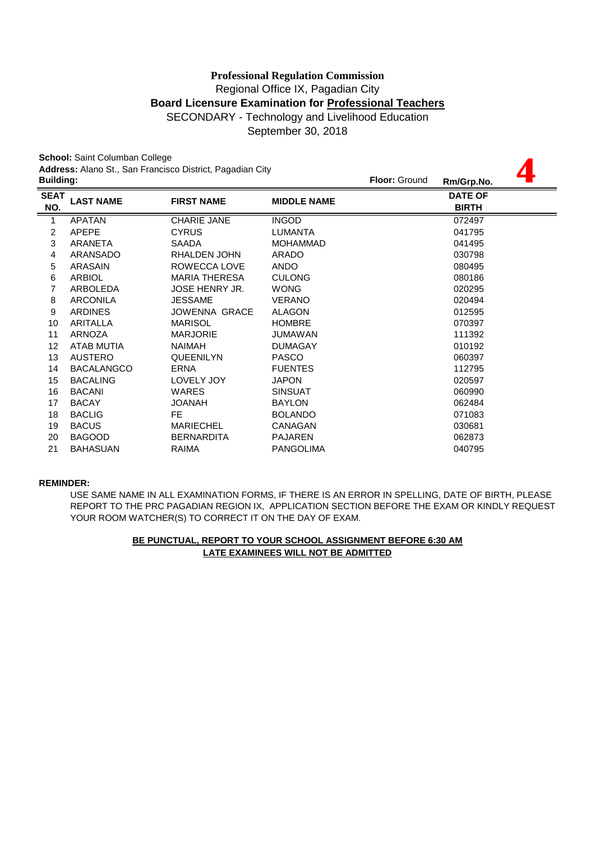**4**

September 30, 2018

**School:** Saint Columban College **Address:** Alano St., San Francisco District, Pagadian City

|                    | <b>Building:</b>  |                       |                    | <b>Floor: Ground</b> | Rm/Grp.No.                     |  |
|--------------------|-------------------|-----------------------|--------------------|----------------------|--------------------------------|--|
| <b>SEAT</b><br>NO. | <b>LAST NAME</b>  | <b>FIRST NAME</b>     | <b>MIDDLE NAME</b> |                      | <b>DATE OF</b><br><b>BIRTH</b> |  |
| $\mathbf{1}$       | <b>APATAN</b>     | <b>CHARIE JANE</b>    | <b>INGOD</b>       |                      | 072497                         |  |
| $\overline{c}$     | <b>APEPE</b>      | <b>CYRUS</b>          | LUMANTA            |                      | 041795                         |  |
| 3                  | ARANETA           | SAADA                 | <b>MOHAMMAD</b>    |                      | 041495                         |  |
| 4                  | ARANSADO          | RHALDEN JOHN          | <b>ARADO</b>       |                      | 030798                         |  |
| 5                  | ARASAIN           | ROWECCA LOVE          | <b>ANDO</b>        |                      | 080495                         |  |
| 6                  | <b>ARBIOL</b>     | <b>MARIA THERESA</b>  | <b>CULONG</b>      |                      | 080186                         |  |
| 7                  | ARBOLEDA          | <b>JOSE HENRY JR.</b> | <b>WONG</b>        |                      | 020295                         |  |
| 8                  | <b>ARCONILA</b>   | <b>JESSAME</b>        | <b>VERANO</b>      |                      | 020494                         |  |
| 9                  | <b>ARDINES</b>    | JOWENNA GRACE         | <b>ALAGON</b>      |                      | 012595                         |  |
| 10                 | ARITALLA          | <b>MARISOL</b>        | <b>HOMBRE</b>      |                      | 070397                         |  |
| 11                 | ARNOZA            | <b>MARJORIE</b>       | JUMAWAN            |                      | 111392                         |  |
| 12                 | ATAB MUTIA        | <b>NAIMAH</b>         | <b>DUMAGAY</b>     |                      | 010192                         |  |
| 13                 | <b>AUSTERO</b>    | <b>QUEENILYN</b>      | <b>PASCO</b>       |                      | 060397                         |  |
| 14                 | <b>BACALANGCO</b> | ERNA                  | <b>FUENTES</b>     |                      | 112795                         |  |
| 15                 | <b>BACALING</b>   | LOVELY JOY            | JAPON              |                      | 020597                         |  |
| 16                 | <b>BACANI</b>     | <b>WARES</b>          | <b>SINSUAT</b>     |                      | 060990                         |  |
| 17                 | <b>BACAY</b>      | <b>HAVAOL</b>         | <b>BAYLON</b>      |                      | 062484                         |  |
| 18                 | <b>BACLIG</b>     | FE.                   | <b>BOLANDO</b>     |                      | 071083                         |  |
| 19                 | <b>BACUS</b>      | <b>MARIECHEL</b>      | CANAGAN            |                      | 030681                         |  |
| 20                 | <b>BAGOOD</b>     | <b>BERNARDITA</b>     | <b>PAJAREN</b>     |                      | 062873                         |  |
| 21                 | <b>BAHASUAN</b>   | RAIMA                 | <b>PANGOLIMA</b>   |                      | 040795                         |  |
|                    |                   |                       |                    |                      |                                |  |

#### **REMINDER:**

USE SAME NAME IN ALL EXAMINATION FORMS, IF THERE IS AN ERROR IN SPELLING, DATE OF BIRTH, PLEASE REPORT TO THE PRC PAGADIAN REGION IX, APPLICATION SECTION BEFORE THE EXAM OR KINDLY REQUEST YOUR ROOM WATCHER(S) TO CORRECT IT ON THE DAY OF EXAM.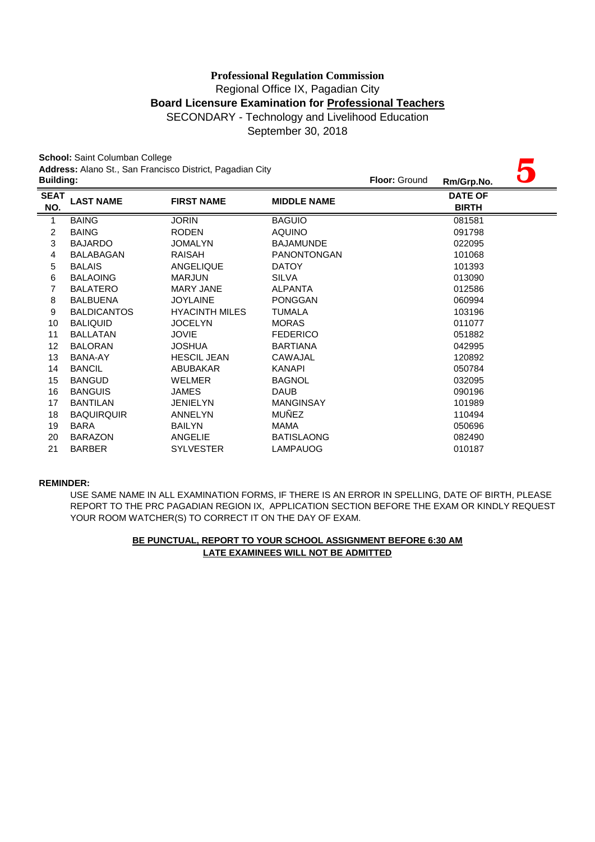September 30, 2018

|                    | School: Saint Columban College |                                                           |                      |            |                                |  |
|--------------------|--------------------------------|-----------------------------------------------------------|----------------------|------------|--------------------------------|--|
| <b>Building:</b>   |                                | Address: Alano St., San Francisco District, Pagadian City | <b>Floor: Ground</b> | Rm/Grp.No. |                                |  |
| <b>SEAT</b><br>NO. | <b>LAST NAME</b>               | <b>FIRST NAME</b>                                         | <b>MIDDLE NAME</b>   |            | <b>DATE OF</b><br><b>BIRTH</b> |  |
| 1                  | <b>BAING</b>                   | <b>JORIN</b>                                              | <b>BAGUIO</b>        |            | 081581                         |  |
| $\overline{c}$     | <b>BAING</b>                   | <b>RODEN</b>                                              | <b>AQUINO</b>        |            | 091798                         |  |
| 3                  | <b>BAJARDO</b>                 | <b>JOMALYN</b>                                            | <b>BAJAMUNDE</b>     |            | 022095                         |  |
| 4                  | <b>BALABAGAN</b>               | RAISAH                                                    | <b>PANONTONGAN</b>   |            | 101068                         |  |
| 5                  | <b>BALAIS</b>                  | ANGELIQUE                                                 | <b>DATOY</b>         |            | 101393                         |  |
| 6                  | <b>BALAOING</b>                | <b>MARJUN</b>                                             | <b>SILVA</b>         |            | 013090                         |  |
| 7                  | <b>BALATERO</b>                | <b>MARY JANE</b>                                          | <b>ALPANTA</b>       |            | 012586                         |  |
| 8                  | <b>BALBUENA</b>                | <b>JOYLAINE</b>                                           | <b>PONGGAN</b>       |            | 060994                         |  |
| 9                  | <b>BALDICANTOS</b>             | <b>HYACINTH MILES</b>                                     | <b>TUMALA</b>        |            | 103196                         |  |
| 10                 | <b>BALIQUID</b>                | <b>JOCELYN</b>                                            | <b>MORAS</b>         |            | 011077                         |  |
| 11                 | <b>BALLATAN</b>                | <b>JOVIE</b>                                              | <b>FEDERICO</b>      |            | 051882                         |  |
| 12                 | <b>BALORAN</b>                 | <b>JOSHUA</b>                                             | <b>BARTIANA</b>      |            | 042995                         |  |
| 13                 | BANA-AY                        | <b>HESCIL JEAN</b>                                        | CAWAJAL              |            | 120892                         |  |
| 14                 | <b>BANCIL</b>                  | ABUBAKAR                                                  | <b>KANAPI</b>        |            | 050784                         |  |
| 15                 | <b>BANGUD</b>                  | <b>WELMER</b>                                             | <b>BAGNOL</b>        |            | 032095                         |  |
| 16                 | <b>BANGUIS</b>                 | <b>JAMES</b>                                              | <b>DAUB</b>          |            | 090196                         |  |
| 17                 | <b>BANTILAN</b>                | <b>JENIELYN</b>                                           | <b>MANGINSAY</b>     |            | 101989                         |  |
| 18                 | <b>BAQUIRQUIR</b>              | <b>ANNELYN</b>                                            | <b>MUÑEZ</b>         |            | 110494                         |  |
| 19                 | BARA                           | <b>BAILYN</b>                                             | <b>MAMA</b>          |            | 050696                         |  |
| 20                 | <b>BARAZON</b>                 | <b>ANGELIE</b>                                            | <b>BATISLAONG</b>    |            | 082490                         |  |
| 21                 | <b>BARBER</b>                  | <b>SYLVESTER</b>                                          | <b>LAMPAUOG</b>      |            | 010187                         |  |

#### **REMINDER:**

USE SAME NAME IN ALL EXAMINATION FORMS, IF THERE IS AN ERROR IN SPELLING, DATE OF BIRTH, PLEASE REPORT TO THE PRC PAGADIAN REGION IX, APPLICATION SECTION BEFORE THE EXAM OR KINDLY REQUEST YOUR ROOM WATCHER(S) TO CORRECT IT ON THE DAY OF EXAM.

## **LATE EXAMINEES WILL NOT BE ADMITTED BE PUNCTUAL, REPORT TO YOUR SCHOOL ASSIGNMENT BEFORE 6:30 AM**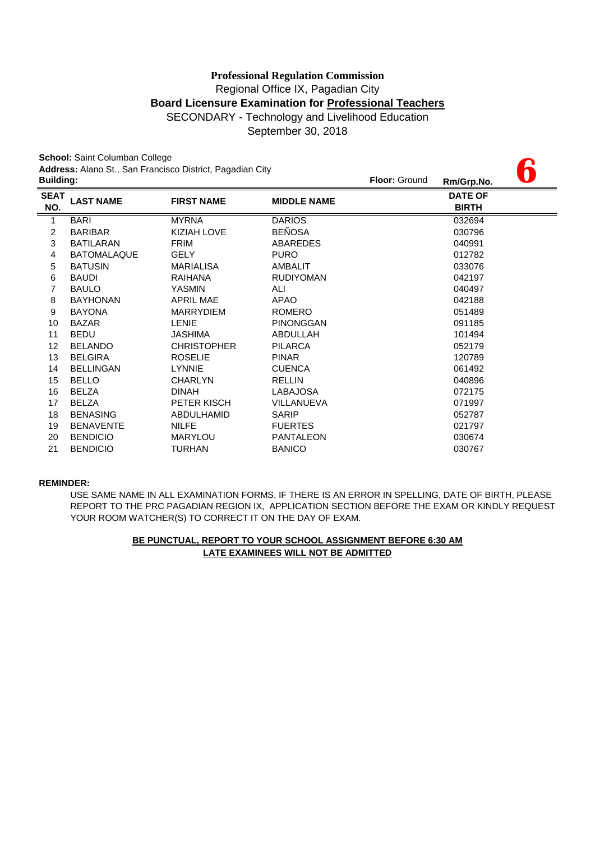September 30, 2018

**6**

**School:** Saint Columban College

**Address:** Alano St., San Francisco District, Pagadian City

| <b>Building:</b>   |                    |                    | <b>Floor: Ground</b>                                   | Rm/Grp.No.                     |  |
|--------------------|--------------------|--------------------|--------------------------------------------------------|--------------------------------|--|
| <b>LAST NAME</b>   | <b>FIRST NAME</b>  | <b>MIDDLE NAME</b> |                                                        | <b>DATE OF</b><br><b>BIRTH</b> |  |
| <b>BARI</b>        | <b>MYRNA</b>       | <b>DARIOS</b>      |                                                        | 032694                         |  |
| <b>BARIBAR</b>     | <b>KIZIAH LOVE</b> | <b>BEÑOSA</b>      |                                                        | 030796                         |  |
| <b>BATILARAN</b>   | <b>FRIM</b>        | <b>ABAREDES</b>    |                                                        | 040991                         |  |
| <b>BATOMALAQUE</b> | <b>GELY</b>        | <b>PURO</b>        |                                                        | 012782                         |  |
| <b>BATUSIN</b>     | <b>MARIALISA</b>   | AMBALIT            |                                                        | 033076                         |  |
| <b>BAUDI</b>       | RAIHANA            | <b>RUDIYOMAN</b>   |                                                        | 042197                         |  |
| <b>BAULO</b>       | <b>YASMIN</b>      | ALI                |                                                        | 040497                         |  |
| <b>BAYHONAN</b>    | <b>APRIL MAE</b>   | APAO               |                                                        | 042188                         |  |
| <b>BAYONA</b>      | <b>MARRYDIEM</b>   | <b>ROMERO</b>      |                                                        | 051489                         |  |
| <b>BAZAR</b>       | LENIE              | <b>PINONGGAN</b>   |                                                        | 091185                         |  |
| <b>BEDU</b>        | <b>JASHIMA</b>     | ABDULLAH           |                                                        | 101494                         |  |
| <b>BELANDO</b>     | <b>CHRISTOPHER</b> | <b>PILARCA</b>     |                                                        | 052179                         |  |
| <b>BELGIRA</b>     | <b>ROSELIE</b>     | <b>PINAR</b>       |                                                        | 120789                         |  |
| <b>BELLINGAN</b>   | <b>LYNNIE</b>      | <b>CUENCA</b>      |                                                        | 061492                         |  |
| <b>BELLO</b>       | <b>CHARLYN</b>     | <b>RELLIN</b>      |                                                        | 040896                         |  |
| <b>BELZA</b>       | <b>DINAH</b>       | <b>LABAJOSA</b>    |                                                        | 072175                         |  |
| <b>BELZA</b>       | PETER KISCH        | VILLANUEVA         |                                                        | 071997                         |  |
| <b>BENASING</b>    | ABDULHAMID         | <b>SARIP</b>       |                                                        | 052787                         |  |
| <b>BENAVENTE</b>   | <b>NILFE</b>       | <b>FUERTES</b>     |                                                        | 021797                         |  |
| <b>BENDICIO</b>    | <b>MARYLOU</b>     | <b>PANTALEON</b>   |                                                        | 030674                         |  |
| <b>BENDICIO</b>    | <b>TURHAN</b>      | <b>BANICO</b>      |                                                        | 030767                         |  |
|                    |                    |                    | $-$ 0.1.1.1.0.1.0.0.0.0.1.1.0.1, 1.0.1.1.0.1.1.1.0.1.1 |                                |  |

#### **REMINDER:**

USE SAME NAME IN ALL EXAMINATION FORMS, IF THERE IS AN ERROR IN SPELLING, DATE OF BIRTH, PLEASE REPORT TO THE PRC PAGADIAN REGION IX, APPLICATION SECTION BEFORE THE EXAM OR KINDLY REQUEST YOUR ROOM WATCHER(S) TO CORRECT IT ON THE DAY OF EXAM.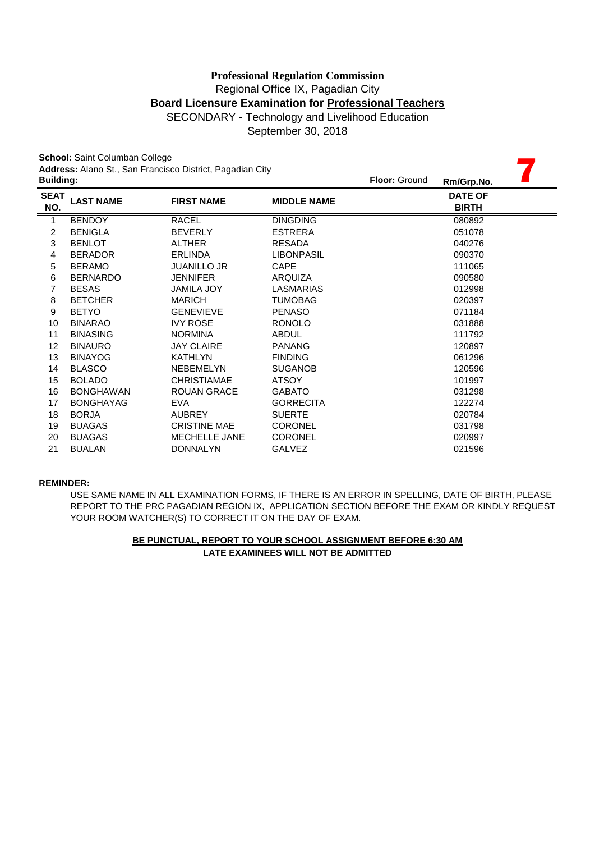September 30, 2018

|                    | School: Saint Columban College<br>Address: Alano St., San Francisco District, Pagadian City |                      |                    |                      |                                |  |  |  |
|--------------------|---------------------------------------------------------------------------------------------|----------------------|--------------------|----------------------|--------------------------------|--|--|--|
| <b>Building:</b>   |                                                                                             |                      |                    | <b>Floor: Ground</b> | Rm/Grp.No.                     |  |  |  |
| <b>SEAT</b><br>NO. | <b>LAST NAME</b>                                                                            | <b>FIRST NAME</b>    | <b>MIDDLE NAME</b> |                      | <b>DATE OF</b><br><b>BIRTH</b> |  |  |  |
| 1                  | <b>BENDOY</b>                                                                               | <b>RACEL</b>         | <b>DINGDING</b>    |                      | 080892                         |  |  |  |
| $\overline{c}$     | <b>BENIGLA</b>                                                                              | <b>BEVERLY</b>       | <b>ESTRERA</b>     |                      | 051078                         |  |  |  |
| 3                  | <b>BENLOT</b>                                                                               | <b>ALTHER</b>        | <b>RESADA</b>      |                      | 040276                         |  |  |  |
| $\overline{4}$     | <b>BERADOR</b>                                                                              | <b>ERLINDA</b>       | <b>LIBONPASIL</b>  |                      | 090370                         |  |  |  |
| 5                  | <b>BERAMO</b>                                                                               | <b>JUANILLO JR</b>   | <b>CAPE</b>        |                      | 111065                         |  |  |  |
| 6                  | <b>BERNARDO</b>                                                                             | <b>JENNIFER</b>      | <b>ARQUIZA</b>     |                      | 090580                         |  |  |  |
| 7                  | <b>BESAS</b>                                                                                | <b>JAMILA JOY</b>    | <b>LASMARIAS</b>   |                      | 012998                         |  |  |  |
| 8                  | <b>BETCHER</b>                                                                              | <b>MARICH</b>        | <b>TUMOBAG</b>     |                      | 020397                         |  |  |  |
| 9                  | <b>BETYO</b>                                                                                | <b>GENEVIEVE</b>     | <b>PENASO</b>      |                      | 071184                         |  |  |  |
| 10                 | <b>BINARAO</b>                                                                              | <b>IVY ROSE</b>      | <b>RONOLO</b>      |                      | 031888                         |  |  |  |
| 11                 | <b>BINASING</b>                                                                             | <b>NORMINA</b>       | <b>ABDUL</b>       |                      | 111792                         |  |  |  |
| 12                 | <b>BINAURO</b>                                                                              | <b>JAY CLAIRE</b>    | <b>PANANG</b>      |                      | 120897                         |  |  |  |
| 13                 | <b>BINAYOG</b>                                                                              | <b>KATHLYN</b>       | <b>FINDING</b>     |                      | 061296                         |  |  |  |
| 14                 | <b>BLASCO</b>                                                                               | <b>NEBEMELYN</b>     | <b>SUGANOB</b>     |                      | 120596                         |  |  |  |
| 15                 | <b>BOLADO</b>                                                                               | <b>CHRISTIAMAE</b>   | <b>ATSOY</b>       |                      | 101997                         |  |  |  |
| 16                 | <b>BONGHAWAN</b>                                                                            | <b>ROUAN GRACE</b>   | <b>GABATO</b>      |                      | 031298                         |  |  |  |
| 17                 | <b>BONGHAYAG</b>                                                                            | <b>EVA</b>           | <b>GORRECITA</b>   |                      | 122274                         |  |  |  |
| 18                 | <b>BORJA</b>                                                                                | <b>AUBREY</b>        | <b>SUERTE</b>      |                      | 020784                         |  |  |  |
| 19                 | <b>BUAGAS</b>                                                                               | <b>CRISTINE MAE</b>  | <b>CORONEL</b>     |                      | 031798                         |  |  |  |
| 20                 | <b>BUAGAS</b>                                                                               | <b>MECHELLE JANE</b> | <b>CORONEL</b>     |                      | 020997                         |  |  |  |
| 21                 | <b>BUALAN</b>                                                                               | <b>DONNALYN</b>      | <b>GALVEZ</b>      |                      | 021596                         |  |  |  |

#### **REMINDER:**

USE SAME NAME IN ALL EXAMINATION FORMS, IF THERE IS AN ERROR IN SPELLING, DATE OF BIRTH, PLEASE REPORT TO THE PRC PAGADIAN REGION IX, APPLICATION SECTION BEFORE THE EXAM OR KINDLY REQUEST YOUR ROOM WATCHER(S) TO CORRECT IT ON THE DAY OF EXAM.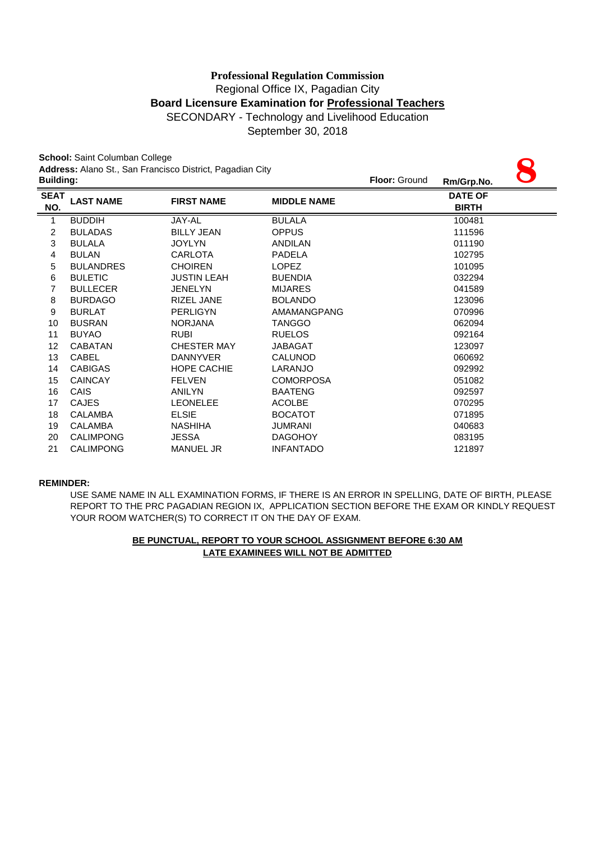# Regional Office IX, Pagadian City **Board Licensure Examination for Professional Teachers** SECONDARY - Technology and Livelihood Education **Professional Regulation Commission**

September 30, 2018

|                  | School: Saint Columban College | Address: Alano St., San Francisco District, Pagadian City |                    |                      |                |  |
|------------------|--------------------------------|-----------------------------------------------------------|--------------------|----------------------|----------------|--|
| <b>Building:</b> |                                |                                                           |                    | <b>Floor: Ground</b> | Rm/Grp.No.     |  |
| <b>SEAT</b>      | <b>LAST NAME</b>               | <b>FIRST NAME</b>                                         | <b>MIDDLE NAME</b> |                      | <b>DATE OF</b> |  |
| NO.              |                                |                                                           |                    |                      | <b>BIRTH</b>   |  |
| 1                | <b>BUDDIH</b>                  | JAY-AL                                                    | <b>BULALA</b>      |                      | 100481         |  |
| $\overline{c}$   | <b>BULADAS</b>                 | <b>BILLY JEAN</b>                                         | <b>OPPUS</b>       |                      | 111596         |  |
| 3                | <b>BULALA</b>                  | <b>JOYLYN</b>                                             | <b>ANDILAN</b>     |                      | 011190         |  |
| 4                | <b>BULAN</b>                   | <b>CARLOTA</b>                                            | <b>PADELA</b>      |                      | 102795         |  |
| 5                | <b>BULANDRES</b>               | <b>CHOIREN</b>                                            | <b>LOPEZ</b>       |                      | 101095         |  |
| 6                | <b>BULETIC</b>                 | <b>JUSTIN LEAH</b>                                        | <b>BUENDIA</b>     |                      | 032294         |  |
| $\overline{7}$   | <b>BULLECER</b>                | <b>JENELYN</b>                                            | <b>MIJARES</b>     |                      | 041589         |  |
| 8                | <b>BURDAGO</b>                 | <b>RIZEL JANE</b>                                         | <b>BOLANDO</b>     |                      | 123096         |  |
| 9                | <b>BURLAT</b>                  | <b>PERLIGYN</b>                                           | AMAMANGPANG        |                      | 070996         |  |
| 10               | <b>BUSRAN</b>                  | <b>NORJANA</b>                                            | TANGGO             |                      | 062094         |  |
| 11               | <b>BUYAO</b>                   | <b>RUBI</b>                                               | <b>RUELOS</b>      |                      | 092164         |  |
| 12               | <b>CABATAN</b>                 | <b>CHESTER MAY</b>                                        | <b>JABAGAT</b>     |                      | 123097         |  |
| 13               | CABEL                          | <b>DANNYVER</b>                                           | <b>CALUNOD</b>     |                      | 060692         |  |
| 14               | <b>CABIGAS</b>                 | <b>HOPE CACHIE</b>                                        | LARANJO            |                      | 092992         |  |
| 15               | <b>CAINCAY</b>                 | <b>FELVEN</b>                                             | <b>COMORPOSA</b>   |                      | 051082         |  |
| 16               | CAIS                           | <b>ANILYN</b>                                             | <b>BAATENG</b>     |                      | 092597         |  |
| 17               | <b>CAJES</b>                   | <b>LEONELEE</b>                                           | <b>ACOLBE</b>      |                      | 070295         |  |
| 18               | <b>CALAMBA</b>                 | <b>ELSIE</b>                                              | <b>BOCATOT</b>     |                      | 071895         |  |
| 19               | <b>CALAMBA</b>                 | <b>NASHIHA</b>                                            | <b>JUMRANI</b>     |                      | 040683         |  |
| 20               | <b>CALIMPONG</b>               | <b>JESSA</b>                                              | <b>DAGOHOY</b>     |                      | 083195         |  |
| 21               | <b>CALIMPONG</b>               | <b>MANUEL JR</b>                                          | <b>INFANTADO</b>   |                      | 121897         |  |

#### **REMINDER:**

USE SAME NAME IN ALL EXAMINATION FORMS, IF THERE IS AN ERROR IN SPELLING, DATE OF BIRTH, PLEASE REPORT TO THE PRC PAGADIAN REGION IX, APPLICATION SECTION BEFORE THE EXAM OR KINDLY REQUEST YOUR ROOM WATCHER(S) TO CORRECT IT ON THE DAY OF EXAM.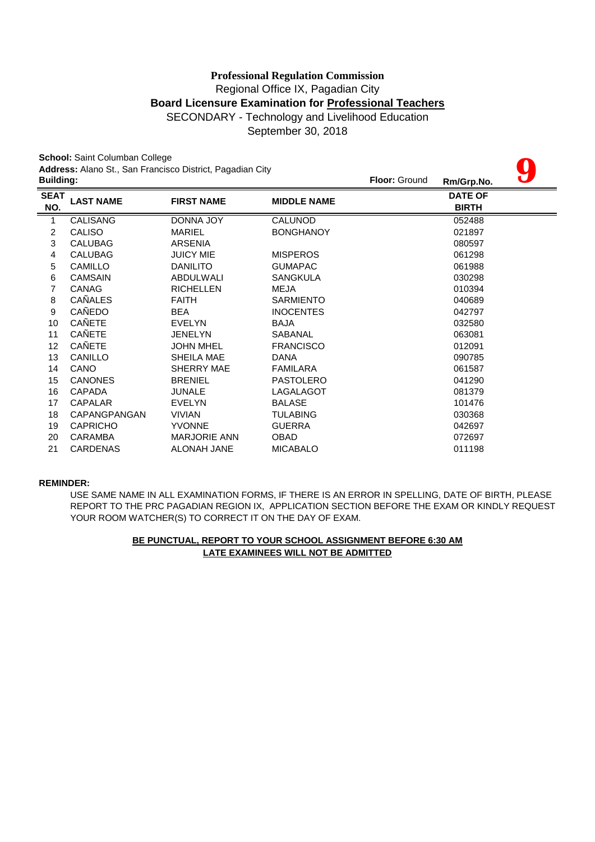# **Board Licensure Examination for Professional Teachers** SECONDARY - Technology and Livelihood Education **Professional Regulation Commission** Regional Office IX, Pagadian City

September 30, 2018

| School: Saint Columban College<br>Address: Alano St., San Francisco District, Pagadian City |                  |                     |                    |               |                                |  |
|---------------------------------------------------------------------------------------------|------------------|---------------------|--------------------|---------------|--------------------------------|--|
| <b>Building:</b>                                                                            |                  |                     |                    | Floor: Ground | Rm/Grp.No.                     |  |
| <b>SEAT</b><br>NO.                                                                          | <b>LAST NAME</b> | <b>FIRST NAME</b>   | <b>MIDDLE NAME</b> |               | <b>DATE OF</b><br><b>BIRTH</b> |  |
| 1                                                                                           | <b>CALISANG</b>  | <b>DONNA JOY</b>    | CALUNOD            |               | 052488                         |  |
| $\overline{c}$                                                                              | CALISO           | <b>MARIEL</b>       | <b>BONGHANOY</b>   |               | 021897                         |  |
| 3                                                                                           | <b>CALUBAG</b>   | <b>ARSENIA</b>      |                    |               | 080597                         |  |
| 4                                                                                           | <b>CALUBAG</b>   | <b>JUICY MIE</b>    | <b>MISPEROS</b>    |               | 061298                         |  |
| 5                                                                                           | <b>CAMILLO</b>   | <b>DANILITO</b>     | <b>GUMAPAC</b>     |               | 061988                         |  |
| 6                                                                                           | <b>CAMSAIN</b>   | ABDULWALI           | <b>SANGKULA</b>    |               | 030298                         |  |
| 7                                                                                           | <b>CANAG</b>     | <b>RICHELLEN</b>    | <b>MEJA</b>        |               | 010394                         |  |
| 8                                                                                           | <b>CAÑALES</b>   | <b>FAITH</b>        | <b>SARMIENTO</b>   |               | 040689                         |  |
| 9                                                                                           | CAÑEDO           | <b>BEA</b>          | <b>INOCENTES</b>   |               | 042797                         |  |
| 10                                                                                          | CAÑETE           | <b>EVELYN</b>       | <b>BAJA</b>        |               | 032580                         |  |
| 11                                                                                          | CAÑETE           | <b>JENELYN</b>      | SABANAL            |               | 063081                         |  |
| 12                                                                                          | <b>CAÑETE</b>    | <b>JOHN MHEL</b>    | <b>FRANCISCO</b>   |               | 012091                         |  |
| 13                                                                                          | CANILLO          | SHEILA MAE          | DANA               |               | 090785                         |  |
| 14                                                                                          | CANO             | SHERRY MAE          | FAMILARA           |               | 061587                         |  |
| 15                                                                                          | <b>CANONES</b>   | <b>BRENIEL</b>      | <b>PASTOLERO</b>   |               | 041290                         |  |
| 16                                                                                          | CAPADA           | <b>JUNALE</b>       | LAGALAGOT          |               | 081379                         |  |
| 17                                                                                          | <b>CAPALAR</b>   | <b>EVELYN</b>       | <b>BALASE</b>      |               | 101476                         |  |
| 18                                                                                          | CAPANGPANGAN     | <b>VIVIAN</b>       | TULABING           |               | 030368                         |  |
| 19                                                                                          | <b>CAPRICHO</b>  | <b>YVONNE</b>       | <b>GUERRA</b>      |               | 042697                         |  |
| 20                                                                                          | <b>CARAMBA</b>   | <b>MARJORIE ANN</b> | <b>OBAD</b>        |               | 072697                         |  |
| 21                                                                                          | <b>CARDENAS</b>  | ALONAH JANE         | <b>MICABALO</b>    |               | 011198                         |  |

#### **REMINDER:**

USE SAME NAME IN ALL EXAMINATION FORMS, IF THERE IS AN ERROR IN SPELLING, DATE OF BIRTH, PLEASE REPORT TO THE PRC PAGADIAN REGION IX, APPLICATION SECTION BEFORE THE EXAM OR KINDLY REQUEST YOUR ROOM WATCHER(S) TO CORRECT IT ON THE DAY OF EXAM.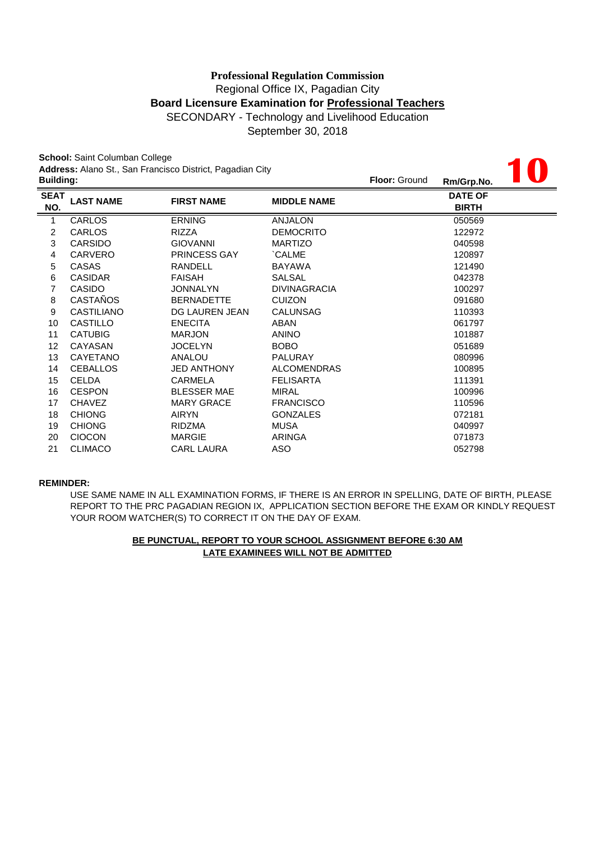# SECONDARY - Technology and Livelihood Education **Professional Regulation Commission** Regional Office IX, Pagadian City **Board Licensure Examination for Professional Teachers**

September 30, 2018

**10**

**School:** Saint Columban College **Address:** Alano St., San Francisco District, Pagadian City

| <b>Address:</b> Alano St., San Francisco District, Pagadian City |                   |                     |                     |                      |                                |  |
|------------------------------------------------------------------|-------------------|---------------------|---------------------|----------------------|--------------------------------|--|
| <b>Building:</b>                                                 |                   |                     |                     | <b>Floor: Ground</b> | Rm/Grp.No.                     |  |
| <b>SEAT</b><br>NO.                                               | <b>LAST NAME</b>  | <b>FIRST NAME</b>   | <b>MIDDLE NAME</b>  |                      | <b>DATE OF</b><br><b>BIRTH</b> |  |
| 1                                                                | <b>CARLOS</b>     | <b>ERNING</b>       | <b>ANJALON</b>      |                      | 050569                         |  |
| 2                                                                | <b>CARLOS</b>     | RIZZA               | <b>DEMOCRITO</b>    |                      | 122972                         |  |
| 3                                                                | <b>CARSIDO</b>    | <b>GIOVANNI</b>     | <b>MARTIZO</b>      |                      | 040598                         |  |
| 4                                                                | <b>CARVERO</b>    | <b>PRINCESS GAY</b> | `CALME              |                      | 120897                         |  |
| 5                                                                | <b>CASAS</b>      | RANDELL             | BAYAWA              |                      | 121490                         |  |
| 6                                                                | <b>CASIDAR</b>    | <b>FAISAH</b>       | <b>SALSAL</b>       |                      | 042378                         |  |
| 7                                                                | <b>CASIDO</b>     | <b>JONNALYN</b>     | <b>DIVINAGRACIA</b> |                      | 100297                         |  |
| 8                                                                | <b>CASTAÑOS</b>   | <b>BERNADETTE</b>   | <b>CUIZON</b>       |                      | 091680                         |  |
| 9                                                                | <b>CASTILIANO</b> | DG LAUREN JEAN      | <b>CALUNSAG</b>     |                      | 110393                         |  |
| 10                                                               | <b>CASTILLO</b>   | <b>ENECITA</b>      | ABAN                |                      | 061797                         |  |
| 11                                                               | <b>CATUBIG</b>    | <b>MARJON</b>       | <b>ANINO</b>        |                      | 101887                         |  |
| 12                                                               | CAYASAN           | <b>JOCELYN</b>      | BOBO                |                      | 051689                         |  |
| 13                                                               | CAYETANO          | ANALOU              | PALURAY             |                      | 080996                         |  |
| 14                                                               | <b>CEBALLOS</b>   | <b>JED ANTHONY</b>  | <b>ALCOMENDRAS</b>  |                      | 100895                         |  |
| 15                                                               | <b>CELDA</b>      | CARMELA             | <b>FELISARTA</b>    |                      | 111391                         |  |
| 16                                                               | <b>CESPON</b>     | <b>BLESSER MAE</b>  | MIRAL               |                      | 100996                         |  |
| 17                                                               | <b>CHAVEZ</b>     | <b>MARY GRACE</b>   | <b>FRANCISCO</b>    |                      | 110596                         |  |
| 18                                                               | <b>CHIONG</b>     | <b>AIRYN</b>        | <b>GONZALES</b>     |                      | 072181                         |  |
| 19                                                               | <b>CHIONG</b>     | <b>RIDZMA</b>       | MUSA                |                      | 040997                         |  |
| 20                                                               | <b>CIOCON</b>     | <b>MARGIE</b>       | ARINGA              |                      | 071873                         |  |
| 21                                                               | <b>CLIMACO</b>    | <b>CARL LAURA</b>   | ASO                 |                      | 052798                         |  |
|                                                                  |                   |                     |                     |                      |                                |  |

#### **REMINDER:**

USE SAME NAME IN ALL EXAMINATION FORMS, IF THERE IS AN ERROR IN SPELLING, DATE OF BIRTH, PLEASE REPORT TO THE PRC PAGADIAN REGION IX, APPLICATION SECTION BEFORE THE EXAM OR KINDLY REQUEST YOUR ROOM WATCHER(S) TO CORRECT IT ON THE DAY OF EXAM.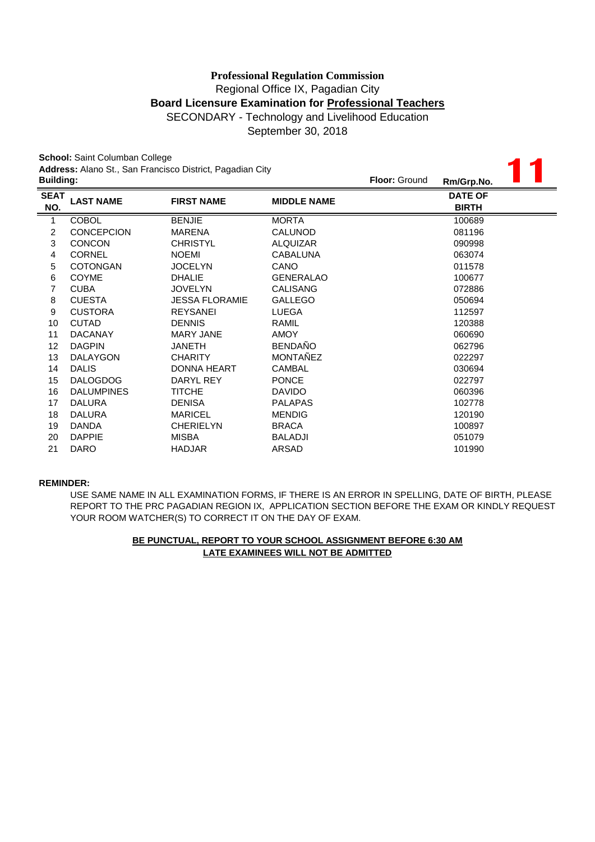September 30, 2018

| School: Saint Columban College<br>Address: Alano St., San Francisco District, Pagadian City |                   |                       |                    |               |                                |  |  |
|---------------------------------------------------------------------------------------------|-------------------|-----------------------|--------------------|---------------|--------------------------------|--|--|
| <b>Building:</b>                                                                            |                   |                       |                    | Floor: Ground | Rm/Grp.No.                     |  |  |
| <b>SEAT</b><br>NO.                                                                          | <b>LAST NAME</b>  | <b>FIRST NAME</b>     | <b>MIDDLE NAME</b> |               | <b>DATE OF</b><br><b>BIRTH</b> |  |  |
| $\mathbf 1$                                                                                 | <b>COBOL</b>      | <b>BENJIE</b>         | <b>MORTA</b>       |               | 100689                         |  |  |
| $\overline{c}$                                                                              | <b>CONCEPCION</b> | <b>MARENA</b>         | <b>CALUNOD</b>     |               | 081196                         |  |  |
| 3                                                                                           | <b>CONCON</b>     | <b>CHRISTYL</b>       | <b>ALQUIZAR</b>    |               | 090998                         |  |  |
| 4                                                                                           | <b>CORNEL</b>     | <b>NOEMI</b>          | CABALUNA           |               | 063074                         |  |  |
| 5                                                                                           | <b>COTONGAN</b>   | <b>JOCELYN</b>        | CANO               |               | 011578                         |  |  |
| 6                                                                                           | <b>COYME</b>      | <b>DHALIE</b>         | <b>GENERALAO</b>   |               | 100677                         |  |  |
| 7                                                                                           | <b>CUBA</b>       | <b>JOVELYN</b>        | <b>CALISANG</b>    |               | 072886                         |  |  |
| 8                                                                                           | <b>CUESTA</b>     | <b>JESSA FLORAMIE</b> | <b>GALLEGO</b>     |               | 050694                         |  |  |
| 9                                                                                           | <b>CUSTORA</b>    | <b>REYSANEI</b>       | <b>LUEGA</b>       |               | 112597                         |  |  |
| 10                                                                                          | <b>CUTAD</b>      | <b>DENNIS</b>         | RAMIL              |               | 120388                         |  |  |
| 11                                                                                          | <b>DACANAY</b>    | <b>MARY JANE</b>      | <b>AMOY</b>        |               | 060690                         |  |  |
| 12                                                                                          | <b>DAGPIN</b>     | <b>JANETH</b>         | <b>BENDAÑO</b>     |               | 062796                         |  |  |
| 13                                                                                          | <b>DALAYGON</b>   | <b>CHARITY</b>        | <b>MONTAÑEZ</b>    |               | 022297                         |  |  |
| 14                                                                                          | <b>DALIS</b>      | <b>DONNA HEART</b>    | <b>CAMBAL</b>      |               | 030694                         |  |  |
| 15                                                                                          | <b>DALOGDOG</b>   | DARYL REY             | <b>PONCE</b>       |               | 022797                         |  |  |
| 16                                                                                          | <b>DALUMPINES</b> | <b>TITCHE</b>         | <b>DAVIDO</b>      |               | 060396                         |  |  |
| 17                                                                                          | <b>DALURA</b>     | <b>DENISA</b>         | <b>PALAPAS</b>     |               | 102778                         |  |  |
| 18                                                                                          | <b>DALURA</b>     | <b>MARICEL</b>        | <b>MENDIG</b>      |               | 120190                         |  |  |
| 19                                                                                          | <b>DANDA</b>      | <b>CHERIELYN</b>      | <b>BRACA</b>       |               | 100897                         |  |  |
| 20                                                                                          | <b>DAPPIE</b>     | <b>MISBA</b>          | <b>BALADJI</b>     |               | 051079                         |  |  |
| 21                                                                                          | <b>DARO</b>       | <b>HADJAR</b>         | ARSAD              |               | 101990                         |  |  |

#### **REMINDER:**

USE SAME NAME IN ALL EXAMINATION FORMS, IF THERE IS AN ERROR IN SPELLING, DATE OF BIRTH, PLEASE REPORT TO THE PRC PAGADIAN REGION IX, APPLICATION SECTION BEFORE THE EXAM OR KINDLY REQUEST YOUR ROOM WATCHER(S) TO CORRECT IT ON THE DAY OF EXAM.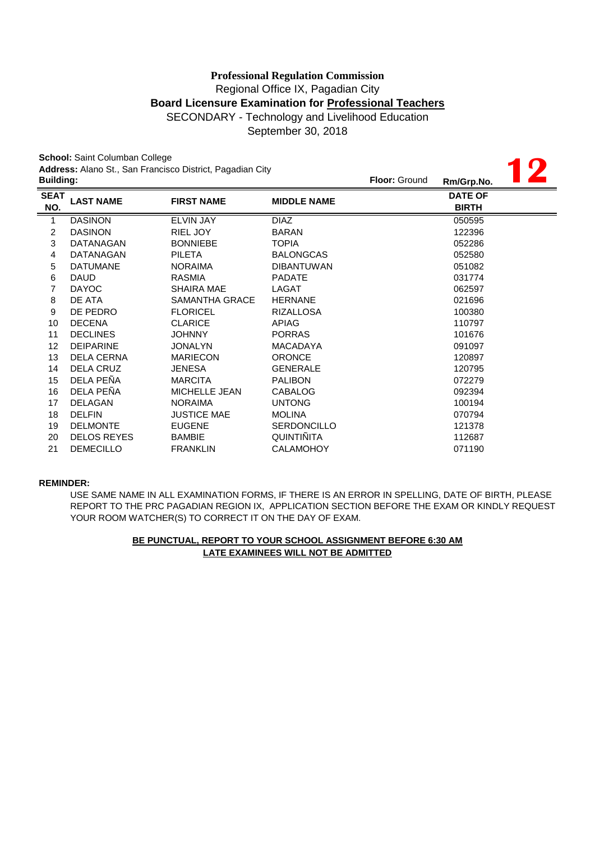September 30, 2018

**School:** Saint Columban College **Address:** Alano St., San Francisco District, Pagadian City

|                  | <b>JUNUOL</b> , JAIHI UUKKINJAN UUKUU |                                                           |                      |            |                |  |
|------------------|---------------------------------------|-----------------------------------------------------------|----------------------|------------|----------------|--|
| <b>Building:</b> |                                       | Address: Alano St., San Francisco District, Pagadian City | <b>Floor: Ground</b> | Rm/Grp.No. |                |  |
| <b>SEAT</b>      |                                       |                                                           |                      |            | <b>DATE OF</b> |  |
| NO.              | <b>LAST NAME</b>                      | <b>FIRST NAME</b>                                         | <b>MIDDLE NAME</b>   |            | <b>BIRTH</b>   |  |
| $\mathbf{1}$     | <b>DASINON</b>                        | <b>ELVIN JAY</b>                                          | <b>DIAZ</b>          |            | 050595         |  |
| $\overline{c}$   | <b>DASINON</b>                        | RIEL JOY                                                  | <b>BARAN</b>         |            | 122396         |  |
| 3                | DATANAGAN                             | <b>BONNIEBE</b>                                           | <b>TOPIA</b>         |            | 052286         |  |
| 4                | <b>DATANAGAN</b>                      | <b>PILETA</b>                                             | <b>BALONGCAS</b>     |            | 052580         |  |
| 5                | <b>DATUMANE</b>                       | <b>NORAIMA</b>                                            | <b>DIBANTUWAN</b>    |            | 051082         |  |
| 6                | <b>DAUD</b>                           | <b>RASMIA</b>                                             | <b>PADATE</b>        |            | 031774         |  |
| 7                | <b>DAYOC</b>                          | <b>SHAIRA MAE</b>                                         | LAGAT                |            | 062597         |  |
| 8                | DE ATA                                | SAMANTHA GRACE                                            | <b>HERNANE</b>       |            | 021696         |  |
| 9                | DE PEDRO                              | <b>FLORICEL</b>                                           | <b>RIZALLOSA</b>     |            | 100380         |  |
| 10               | <b>DECENA</b>                         | <b>CLARICE</b>                                            | <b>APIAG</b>         |            | 110797         |  |
| 11               | <b>DECLINES</b>                       | <b>JOHNNY</b>                                             | <b>PORRAS</b>        |            | 101676         |  |
| 12               | <b>DEIPARINE</b>                      | <b>JONALYN</b>                                            | <b>MACADAYA</b>      |            | 091097         |  |
| 13               | <b>DELA CERNA</b>                     | <b>MARIECON</b>                                           | <b>ORONCE</b>        |            | 120897         |  |
| 14               | <b>DELA CRUZ</b>                      | <b>JENESA</b>                                             | <b>GENERALE</b>      |            | 120795         |  |
| 15               | DELA PEÑA                             | <b>MARCITA</b>                                            | <b>PALIBON</b>       |            | 072279         |  |
| 16               | DELA PEÑA                             | <b>MICHELLE JEAN</b>                                      | <b>CABALOG</b>       |            | 092394         |  |
| 17               | <b>DELAGAN</b>                        | <b>NORAIMA</b>                                            | <b>UNTONG</b>        |            | 100194         |  |
| 18               | <b>DELFIN</b>                         | <b>JUSTICE MAE</b>                                        | <b>MOLINA</b>        |            | 070794         |  |
| 19               | <b>DELMONTE</b>                       | <b>EUGENE</b>                                             | <b>SERDONCILLO</b>   |            | 121378         |  |
| 20               | <b>DELOS REYES</b>                    | <b>BAMBIE</b>                                             | <b>QUINTIÑITA</b>    |            | 112687         |  |
| 21               | <b>DEMECILLO</b>                      | <b>FRANKLIN</b>                                           | <b>CALAMOHOY</b>     |            | 071190         |  |

#### **REMINDER:**

USE SAME NAME IN ALL EXAMINATION FORMS, IF THERE IS AN ERROR IN SPELLING, DATE OF BIRTH, PLEASE REPORT TO THE PRC PAGADIAN REGION IX, APPLICATION SECTION BEFORE THE EXAM OR KINDLY REQUEST YOUR ROOM WATCHER(S) TO CORRECT IT ON THE DAY OF EXAM.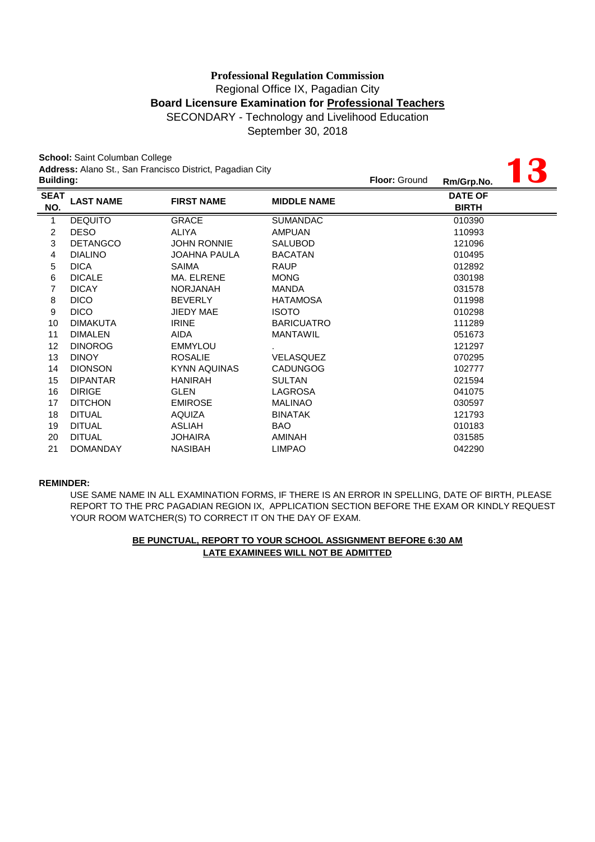September 30, 2018

**13**

**School:** Saint Columban College **Address:** Alano St., San Francisco District, Pagadian City

|                    | Address. Alaho St., San Francisco District, Fagaulan City<br><b>Building:</b> |                     |                    |  | Rm/Grp.No.                     | $\mathbf{C}$ |
|--------------------|-------------------------------------------------------------------------------|---------------------|--------------------|--|--------------------------------|--------------|
| <b>SEAT</b><br>NO. | <b>LAST NAME</b>                                                              | <b>FIRST NAME</b>   | <b>MIDDLE NAME</b> |  | <b>DATE OF</b><br><b>BIRTH</b> |              |
| 1                  | <b>DEQUITO</b>                                                                | <b>GRACE</b>        | <b>SUMANDAC</b>    |  | 010390                         |              |
| $\overline{c}$     | <b>DESO</b>                                                                   | ALIYA               | <b>AMPUAN</b>      |  | 110993                         |              |
| 3                  | <b>DETANGCO</b>                                                               | <b>JOHN RONNIE</b>  | <b>SALUBOD</b>     |  | 121096                         |              |
| 4                  | <b>DIALINO</b>                                                                | <b>JOAHNA PAULA</b> | <b>BACATAN</b>     |  | 010495                         |              |
| 5                  | <b>DICA</b>                                                                   | <b>SAIMA</b>        | <b>RAUP</b>        |  | 012892                         |              |
| 6                  | <b>DICALE</b>                                                                 | MA. ELRENE          | <b>MONG</b>        |  | 030198                         |              |
| 7                  | <b>DICAY</b>                                                                  | <b>NORJANAH</b>     | <b>MANDA</b>       |  | 031578                         |              |
| 8                  | <b>DICO</b>                                                                   | <b>BEVERLY</b>      | <b>HATAMOSA</b>    |  | 011998                         |              |
| 9                  | <b>DICO</b>                                                                   | JIEDY MAE           | <b>ISOTO</b>       |  | 010298                         |              |
| 10                 | <b>DIMAKUTA</b>                                                               | <b>IRINE</b>        | <b>BARICUATRO</b>  |  | 111289                         |              |
| 11                 | <b>DIMALEN</b>                                                                | AIDA                | <b>MANTAWIL</b>    |  | 051673                         |              |
| 12                 | <b>DINOROG</b>                                                                | <b>EMMYLOU</b>      |                    |  | 121297                         |              |
| 13                 | <b>DINOY</b>                                                                  | <b>ROSALIE</b>      | <b>VELASQUEZ</b>   |  | 070295                         |              |
| 14                 | <b>DIONSON</b>                                                                | KYNN AQUINAS        | <b>CADUNGOG</b>    |  | 102777                         |              |
| 15                 | <b>DIPANTAR</b>                                                               | <b>HANIRAH</b>      | <b>SULTAN</b>      |  | 021594                         |              |
| 16                 | <b>DIRIGE</b>                                                                 | <b>GLEN</b>         | LAGROSA            |  | 041075                         |              |
| 17                 | <b>DITCHON</b>                                                                | <b>EMIROSE</b>      | <b>MALINAO</b>     |  | 030597                         |              |
| 18                 | <b>DITUAL</b>                                                                 | <b>AQUIZA</b>       | <b>BINATAK</b>     |  | 121793                         |              |
| 19                 | <b>DITUAL</b>                                                                 | <b>ASLIAH</b>       | BAO                |  | 010183                         |              |
| 20                 | <b>DITUAL</b>                                                                 | <b>JOHAIRA</b>      | AMINAH             |  | 031585                         |              |
| 21                 | <b>DOMANDAY</b>                                                               | <b>NASIBAH</b>      | <b>LIMPAO</b>      |  | 042290                         |              |

#### **REMINDER:**

USE SAME NAME IN ALL EXAMINATION FORMS, IF THERE IS AN ERROR IN SPELLING, DATE OF BIRTH, PLEASE REPORT TO THE PRC PAGADIAN REGION IX, APPLICATION SECTION BEFORE THE EXAM OR KINDLY REQUEST YOUR ROOM WATCHER(S) TO CORRECT IT ON THE DAY OF EXAM.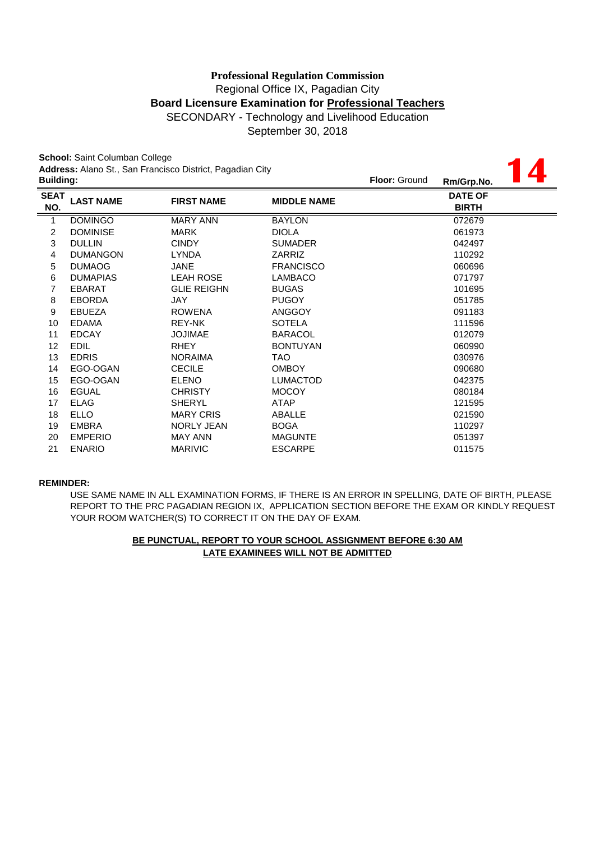September 30, 2018

**14**

**School:** Saint Columban College **Address:** Alano St., San Francisco District, Pagadian City

|                    | Address. Alaho St., San Francisco District, Fagaulan City<br><b>Building:</b> |                    |                    |  | Rm/Grp.No.                     | 4 |
|--------------------|-------------------------------------------------------------------------------|--------------------|--------------------|--|--------------------------------|---|
| <b>SEAT</b><br>NO. | <b>LAST NAME</b>                                                              | <b>FIRST NAME</b>  | <b>MIDDLE NAME</b> |  | <b>DATE OF</b><br><b>BIRTH</b> |   |
| 1                  | <b>DOMINGO</b>                                                                | <b>MARY ANN</b>    | <b>BAYLON</b>      |  | 072679                         |   |
| 2                  | <b>DOMINISE</b>                                                               | <b>MARK</b>        | <b>DIOLA</b>       |  | 061973                         |   |
| 3                  | <b>DULLIN</b>                                                                 | <b>CINDY</b>       | <b>SUMADER</b>     |  | 042497                         |   |
| 4                  | <b>DUMANGON</b>                                                               | <b>LYNDA</b>       | <b>ZARRIZ</b>      |  | 110292                         |   |
| 5                  | <b>DUMAOG</b>                                                                 | <b>JANE</b>        | <b>FRANCISCO</b>   |  | 060696                         |   |
| 6                  | <b>DUMAPIAS</b>                                                               | <b>LEAH ROSE</b>   | <b>LAMBACO</b>     |  | 071797                         |   |
| 7                  | <b>EBARAT</b>                                                                 | <b>GLIE REIGHN</b> | <b>BUGAS</b>       |  | 101695                         |   |
| 8                  | <b>EBORDA</b>                                                                 | JAY                | <b>PUGOY</b>       |  | 051785                         |   |
| 9                  | <b>EBUEZA</b>                                                                 | <b>ROWENA</b>      | <b>ANGGOY</b>      |  | 091183                         |   |
| 10                 | <b>EDAMA</b>                                                                  | REY-NK             | <b>SOTELA</b>      |  | 111596                         |   |
| 11                 | <b>EDCAY</b>                                                                  | <b>JOJIMAE</b>     | <b>BARACOL</b>     |  | 012079                         |   |
| 12                 | <b>EDIL</b>                                                                   | <b>RHEY</b>        | <b>BONTUYAN</b>    |  | 060990                         |   |
| 13                 | <b>EDRIS</b>                                                                  | <b>NORAIMA</b>     | TAO.               |  | 030976                         |   |
| 14                 | EGO-OGAN                                                                      | <b>CECILE</b>      | <b>OMBOY</b>       |  | 090680                         |   |
| 15                 | EGO-OGAN                                                                      | <b>ELENO</b>       | <b>LUMACTOD</b>    |  | 042375                         |   |
| 16                 | <b>EGUAL</b>                                                                  | <b>CHRISTY</b>     | <b>MOCOY</b>       |  | 080184                         |   |
| 17                 | <b>ELAG</b>                                                                   | <b>SHERYL</b>      | <b>ATAP</b>        |  | 121595                         |   |
| 18                 | <b>ELLO</b>                                                                   | <b>MARY CRIS</b>   | ABALLE             |  | 021590                         |   |
| 19                 | <b>EMBRA</b>                                                                  | <b>NORLY JEAN</b>  | <b>BOGA</b>        |  | 110297                         |   |
| 20                 | <b>EMPERIO</b>                                                                | <b>MAY ANN</b>     | <b>MAGUNTE</b>     |  | 051397                         |   |
| 21                 | <b>ENARIO</b>                                                                 | <b>MARIVIC</b>     | <b>ESCARPE</b>     |  | 011575                         |   |

#### **REMINDER:**

REPORT TO THE PRC PAGADIAN REGION IX, APPLICATION SECTION BEFORE THE EXAM OR KINDLY REQUEST YOUR ROOM WATCHER(S) TO CORRECT IT ON THE DAY OF EXAM. USE SAME NAME IN ALL EXAMINATION FORMS, IF THERE IS AN ERROR IN SPELLING, DATE OF BIRTH, PLEASE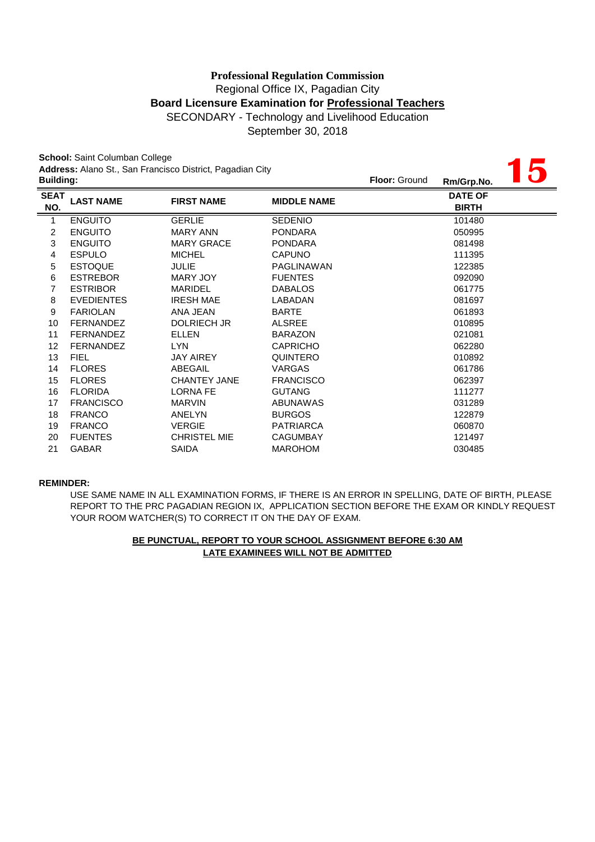September 30, 2018

**15**

**School:** Saint Columban College **Address:** Alano St., San Francisco District, Pagadian City

| <b>Building:</b>   |                   |                     |                    | <b>Floor: Ground</b> | Rm/Grp.No.                     | $\mathbf{U}$ |
|--------------------|-------------------|---------------------|--------------------|----------------------|--------------------------------|--------------|
| <b>SEAT</b><br>NO. | <b>LAST NAME</b>  | <b>FIRST NAME</b>   | <b>MIDDLE NAME</b> |                      | <b>DATE OF</b><br><b>BIRTH</b> |              |
| $\mathbf{1}$       | <b>ENGUITO</b>    | <b>GERLIE</b>       | <b>SEDENIO</b>     |                      | 101480                         |              |
| $\overline{c}$     | <b>ENGUITO</b>    | <b>MARY ANN</b>     | <b>PONDARA</b>     |                      | 050995                         |              |
| 3                  | <b>ENGUITO</b>    | <b>MARY GRACE</b>   | <b>PONDARA</b>     |                      | 081498                         |              |
| 4                  | <b>ESPULO</b>     | <b>MICHEL</b>       | <b>CAPUNO</b>      |                      | 111395                         |              |
| 5                  | <b>ESTOQUE</b>    | <b>JULIE</b>        | <b>PAGLINAWAN</b>  |                      | 122385                         |              |
| 6                  | <b>ESTREBOR</b>   | MARY JOY            | <b>FUENTES</b>     |                      | 092090                         |              |
| $\overline{7}$     | <b>ESTRIBOR</b>   | <b>MARIDEL</b>      | <b>DABALOS</b>     |                      | 061775                         |              |
| 8                  | <b>EVEDIENTES</b> | <b>IRESH MAE</b>    | LABADAN            |                      | 081697                         |              |
| 9                  | <b>FARIOLAN</b>   | ANA JEAN            | <b>BARTE</b>       |                      | 061893                         |              |
| 10                 | <b>FERNANDEZ</b>  | DOLRIECH JR         | <b>ALSREE</b>      |                      | 010895                         |              |
| 11                 | <b>FERNANDEZ</b>  | <b>ELLEN</b>        | <b>BARAZON</b>     |                      | 021081                         |              |
| 12                 | <b>FERNANDEZ</b>  | LYN.                | <b>CAPRICHO</b>    |                      | 062280                         |              |
| 13                 | <b>FIEL</b>       | <b>JAY AIREY</b>    | <b>QUINTERO</b>    |                      | 010892                         |              |
| 14                 | <b>FLORES</b>     | ABEGAIL             | <b>VARGAS</b>      |                      | 061786                         |              |
| 15                 | <b>FLORES</b>     | <b>CHANTEY JANE</b> | <b>FRANCISCO</b>   |                      | 062397                         |              |
| 16                 | <b>FLORIDA</b>    | <b>LORNA FE</b>     | <b>GUTANG</b>      |                      | 111277                         |              |
| 17                 | <b>FRANCISCO</b>  | <b>MARVIN</b>       | ABUNAWAS           |                      | 031289                         |              |
| 18                 | <b>FRANCO</b>     | <b>ANELYN</b>       | <b>BURGOS</b>      |                      | 122879                         |              |
| 19                 | <b>FRANCO</b>     | <b>VERGIE</b>       | <b>PATRIARCA</b>   |                      | 060870                         |              |
| 20                 | <b>FUENTES</b>    | <b>CHRISTEL MIE</b> | <b>CAGUMBAY</b>    |                      | 121497                         |              |
| 21                 | <b>GABAR</b>      | SAIDA               | <b>MAROHOM</b>     |                      | 030485                         |              |
|                    |                   |                     |                    |                      |                                |              |

#### **REMINDER:**

YOUR ROOM WATCHER(S) TO CORRECT IT ON THE DAY OF EXAM. USE SAME NAME IN ALL EXAMINATION FORMS, IF THERE IS AN ERROR IN SPELLING, DATE OF BIRTH, PLEASE REPORT TO THE PRC PAGADIAN REGION IX, APPLICATION SECTION BEFORE THE EXAM OR KINDLY REQUEST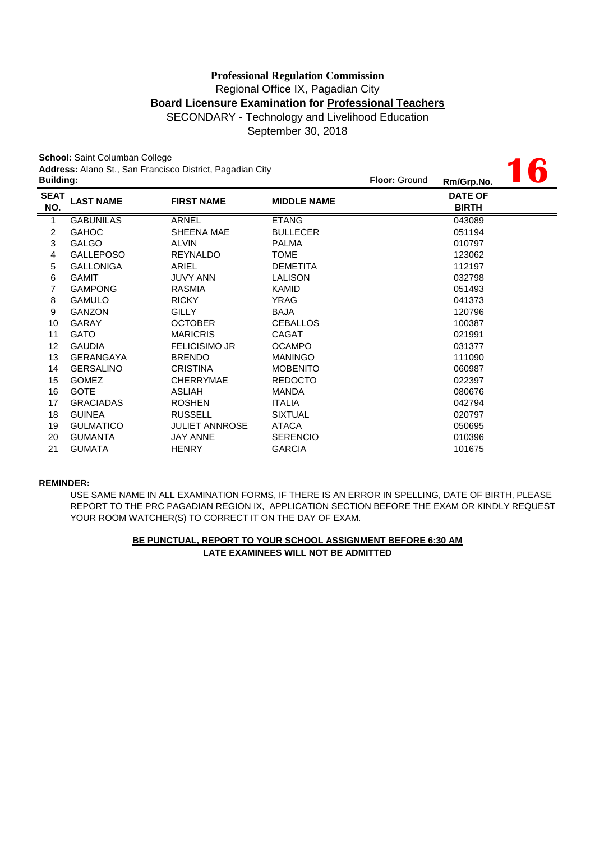September 30, 2018

**16**

**School:** Saint Columban College **Address:** Alano St., San Francisco District, Pagadian City

| <b>Building:</b>   |                  |                       |                    | <b>Floor: Ground</b> | Rm/Grp.No.                     | W |
|--------------------|------------------|-----------------------|--------------------|----------------------|--------------------------------|---|
| <b>SEAT</b><br>NO. | <b>LAST NAME</b> | <b>FIRST NAME</b>     | <b>MIDDLE NAME</b> |                      | <b>DATE OF</b><br><b>BIRTH</b> |   |
| $\overline{1}$     | <b>GABUNILAS</b> | <b>ARNEL</b>          | <b>ETANG</b>       |                      | 043089                         |   |
| $\overline{c}$     | <b>GAHOC</b>     | SHEENA MAE            | <b>BULLECER</b>    |                      | 051194                         |   |
| 3                  | <b>GALGO</b>     | ALVIN                 | <b>PALMA</b>       |                      | 010797                         |   |
| 4                  | <b>GALLEPOSO</b> | <b>REYNALDO</b>       | <b>TOME</b>        |                      | 123062                         |   |
| 5                  | <b>GALLONIGA</b> | ARIEL                 | <b>DEMETITA</b>    |                      | 112197                         |   |
| 6                  | <b>GAMIT</b>     | <b>JUVY ANN</b>       | <b>LALISON</b>     |                      | 032798                         |   |
| 7                  | <b>GAMPONG</b>   | <b>RASMIA</b>         | <b>KAMID</b>       |                      | 051493                         |   |
| 8                  | <b>GAMULO</b>    | <b>RICKY</b>          | YRAG               |                      | 041373                         |   |
| 9                  | <b>GANZON</b>    | <b>GILLY</b>          | <b>BAJA</b>        |                      | 120796                         |   |
| 10                 | <b>GARAY</b>     | <b>OCTOBER</b>        | <b>CEBALLOS</b>    |                      | 100387                         |   |
| 11                 | <b>GATO</b>      | <b>MARICRIS</b>       | <b>CAGAT</b>       |                      | 021991                         |   |
| 12                 | <b>GAUDIA</b>    | <b>FELICISIMO JR</b>  | <b>OCAMPO</b>      |                      | 031377                         |   |
| 13                 | <b>GERANGAYA</b> | <b>BRENDO</b>         | <b>MANINGO</b>     |                      | 111090                         |   |
| 14                 | <b>GERSALINO</b> | <b>CRISTINA</b>       | <b>MOBENITO</b>    |                      | 060987                         |   |
| 15                 | <b>GOMEZ</b>     | <b>CHERRYMAE</b>      | <b>REDOCTO</b>     |                      | 022397                         |   |
| 16                 | <b>GOTE</b>      | ASLIAH                | <b>MANDA</b>       |                      | 080676                         |   |
| 17                 | <b>GRACIADAS</b> | <b>ROSHEN</b>         | <b>ITALIA</b>      |                      | 042794                         |   |
| 18                 | <b>GUINEA</b>    | <b>RUSSELL</b>        | <b>SIXTUAL</b>     |                      | 020797                         |   |
| 19                 | <b>GULMATICO</b> | <b>JULIET ANNROSE</b> | <b>ATACA</b>       |                      | 050695                         |   |
| 20                 | <b>GUMANTA</b>   | <b>JAY ANNE</b>       | <b>SERENCIO</b>    |                      | 010396                         |   |
| 21                 | <b>GUMATA</b>    | <b>HENRY</b>          | <b>GARCIA</b>      |                      | 101675                         |   |

#### **REMINDER:**

USE SAME NAME IN ALL EXAMINATION FORMS, IF THERE IS AN ERROR IN SPELLING, DATE OF BIRTH, PLEASE REPORT TO THE PRC PAGADIAN REGION IX, APPLICATION SECTION BEFORE THE EXAM OR KINDLY REQUEST YOUR ROOM WATCHER(S) TO CORRECT IT ON THE DAY OF EXAM.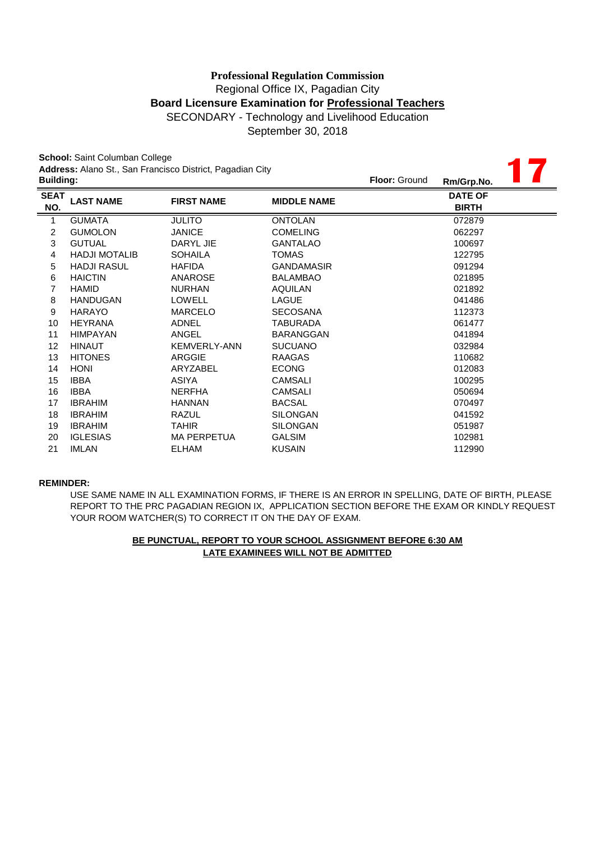September 30, 2018

**17**

**School:** Saint Columban College **Address:** Alano St., San Francisco District, Pagadian City

| <b>Building:</b>   |                      |                     |                    | <b>Floor: Ground</b> | Rm/Grp.No.                     |  |
|--------------------|----------------------|---------------------|--------------------|----------------------|--------------------------------|--|
| <b>SEAT</b><br>NO. | <b>LAST NAME</b>     | <b>FIRST NAME</b>   | <b>MIDDLE NAME</b> |                      | <b>DATE OF</b><br><b>BIRTH</b> |  |
| 1                  | <b>GUMATA</b>        | <b>JULITO</b>       | <b>ONTOLAN</b>     |                      | 072879                         |  |
| $\overline{c}$     | <b>GUMOLON</b>       | <b>JANICE</b>       | <b>COMELING</b>    |                      | 062297                         |  |
| 3                  | <b>GUTUAL</b>        | DARYL JIE           | <b>GANTALAO</b>    |                      | 100697                         |  |
| 4                  | <b>HADJI MOTALIB</b> | <b>SOHAILA</b>      | TOMAS              |                      | 122795                         |  |
| 5                  | <b>HADJI RASUL</b>   | <b>HAFIDA</b>       | <b>GANDAMASIR</b>  |                      | 091294                         |  |
| 6                  | <b>HAICTIN</b>       | ANAROSE             | <b>BALAMBAO</b>    |                      | 021895                         |  |
| 7                  | <b>HAMID</b>         | <b>NURHAN</b>       | <b>AQUILAN</b>     |                      | 021892                         |  |
| 8                  | <b>HANDUGAN</b>      | <b>LOWELL</b>       | <b>LAGUE</b>       |                      | 041486                         |  |
| 9                  | <b>HARAYO</b>        | <b>MARCELO</b>      | <b>SECOSANA</b>    |                      | 112373                         |  |
| 10                 | <b>HEYRANA</b>       | <b>ADNEL</b>        | TABURADA           |                      | 061477                         |  |
| 11                 | <b>HIMPAYAN</b>      | ANGEL               | <b>BARANGGAN</b>   |                      | 041894                         |  |
| 12                 | <b>HINAUT</b>        | <b>KEMVERLY-ANN</b> | <b>SUCUANO</b>     |                      | 032984                         |  |
| 13                 | <b>HITONES</b>       | ARGGIE              | RAAGAS             |                      | 110682                         |  |
| 14                 | <b>HONI</b>          | ARYZABEL            | <b>ECONG</b>       |                      | 012083                         |  |
| 15                 | <b>IBBA</b>          | <b>ASIYA</b>        | <b>CAMSALI</b>     |                      | 100295                         |  |
| 16                 | <b>IBBA</b>          | <b>NERFHA</b>       | <b>CAMSALI</b>     |                      | 050694                         |  |
| 17                 | <b>IBRAHIM</b>       | <b>HANNAN</b>       | <b>BACSAL</b>      |                      | 070497                         |  |
| 18                 | <b>IBRAHIM</b>       | <b>RAZUL</b>        | <b>SILONGAN</b>    |                      | 041592                         |  |
| 19                 | <b>IBRAHIM</b>       | <b>TAHIR</b>        | <b>SILONGAN</b>    |                      | 051987                         |  |
| 20                 | <b>IGLESIAS</b>      | <b>MA PERPETUA</b>  | <b>GALSIM</b>      |                      | 102981                         |  |
| 21                 | <b>IMLAN</b>         | <b>ELHAM</b>        | <b>KUSAIN</b>      |                      | 112990                         |  |
|                    |                      |                     |                    |                      |                                |  |

#### **REMINDER:**

USE SAME NAME IN ALL EXAMINATION FORMS, IF THERE IS AN ERROR IN SPELLING, DATE OF BIRTH, PLEASE REPORT TO THE PRC PAGADIAN REGION IX, APPLICATION SECTION BEFORE THE EXAM OR KINDLY REQUEST YOUR ROOM WATCHER(S) TO CORRECT IT ON THE DAY OF EXAM.

## **LATE EXAMINEES WILL NOT BE ADMITTED BE PUNCTUAL, REPORT TO YOUR SCHOOL ASSIGNMENT BEFORE 6:30 AM**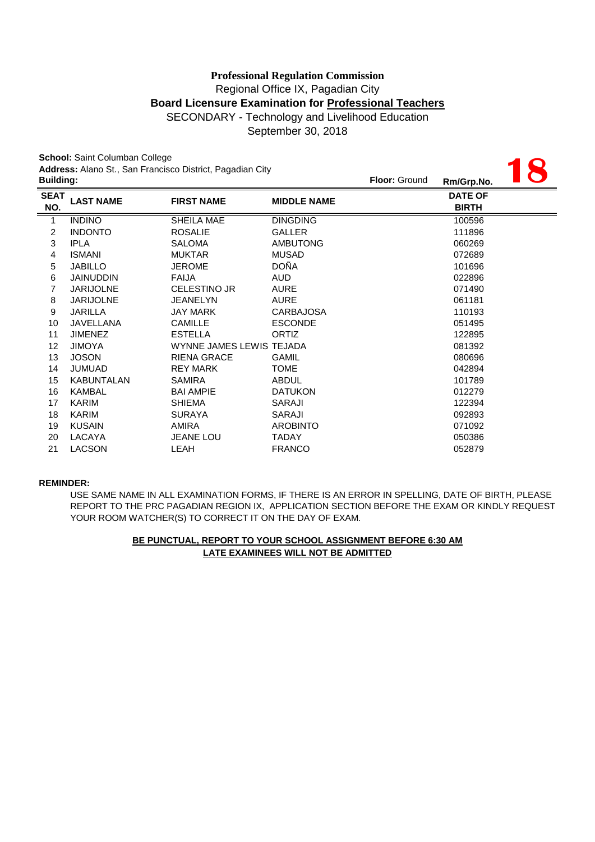**18**

September 30, 2018

**School:** Saint Columban College **Address:** Alano St., San Francisco District, Pagadian City

| <b>Building:</b>   |                   |                          |                    | <b>Floor: Ground</b> | Rm/Grp.No.                     | $\overline{\phantom{a}}$ |
|--------------------|-------------------|--------------------------|--------------------|----------------------|--------------------------------|--------------------------|
| <b>SEAT</b><br>NO. | <b>LAST NAME</b>  | <b>FIRST NAME</b>        | <b>MIDDLE NAME</b> |                      | <b>DATE OF</b><br><b>BIRTH</b> |                          |
| $\mathbf{1}$       | <b>INDINO</b>     | SHEILA MAE               | <b>DINGDING</b>    |                      | 100596                         |                          |
| $\overline{c}$     | <b>INDONTO</b>    | <b>ROSALIE</b>           | <b>GALLER</b>      |                      | 111896                         |                          |
| 3                  | <b>IPLA</b>       | <b>SALOMA</b>            | <b>AMBUTONG</b>    |                      | 060269                         |                          |
| 4                  | <b>ISMANI</b>     | <b>MUKTAR</b>            | <b>MUSAD</b>       |                      | 072689                         |                          |
| 5                  | <b>JABILLO</b>    | <b>JEROME</b>            | <b>DOÑA</b>        |                      | 101696                         |                          |
| 6                  | <b>JAINUDDIN</b>  | <b>FAIJA</b>             | AUD.               |                      | 022896                         |                          |
| 7                  | <b>JARIJOLNE</b>  | <b>CELESTINO JR</b>      | <b>AURE</b>        |                      | 071490                         |                          |
| 8                  | <b>JARIJOLNE</b>  | <b>JEANELYN</b>          | <b>AURE</b>        |                      | 061181                         |                          |
| 9                  | <b>JARILLA</b>    | JAY MARK                 | <b>CARBAJOSA</b>   |                      | 110193                         |                          |
| 10                 | <b>JAVELLANA</b>  | <b>CAMILLE</b>           | <b>ESCONDE</b>     |                      | 051495                         |                          |
| 11                 | <b>JIMENEZ</b>    | <b>ESTELLA</b>           | <b>ORTIZ</b>       |                      | 122895                         |                          |
| 12                 | <b>JIMOYA</b>     | WYNNE JAMES LEWIS TEJADA |                    |                      | 081392                         |                          |
| 13                 | <b>JOSON</b>      | <b>RIENA GRACE</b>       | <b>GAMIL</b>       |                      | 080696                         |                          |
| 14                 | <b>JUMUAD</b>     | <b>REY MARK</b>          | <b>TOME</b>        |                      | 042894                         |                          |
| 15                 | <b>KABUNTALAN</b> | <b>SAMIRA</b>            | ABDUL              |                      | 101789                         |                          |
| 16                 | KAMBAL            | <b>BAI AMPIE</b>         | <b>DATUKON</b>     |                      | 012279                         |                          |
| 17                 | <b>KARIM</b>      | <b>SHIEMA</b>            | <b>SARAJI</b>      |                      | 122394                         |                          |
| 18                 | KARIM             | <b>SURAYA</b>            | SARAJI             |                      | 092893                         |                          |
| 19                 | <b>KUSAIN</b>     | AMIRA                    | <b>AROBINTO</b>    |                      | 071092                         |                          |
| 20                 | LACAYA            | <b>JEANE LOU</b>         | <b>TADAY</b>       |                      | 050386                         |                          |
| 21                 | <b>LACSON</b>     | LEAH                     | <b>FRANCO</b>      |                      | 052879                         |                          |

#### **REMINDER:**

USE SAME NAME IN ALL EXAMINATION FORMS, IF THERE IS AN ERROR IN SPELLING, DATE OF BIRTH, PLEASE REPORT TO THE PRC PAGADIAN REGION IX, APPLICATION SECTION BEFORE THE EXAM OR KINDLY REQUEST YOUR ROOM WATCHER(S) TO CORRECT IT ON THE DAY OF EXAM.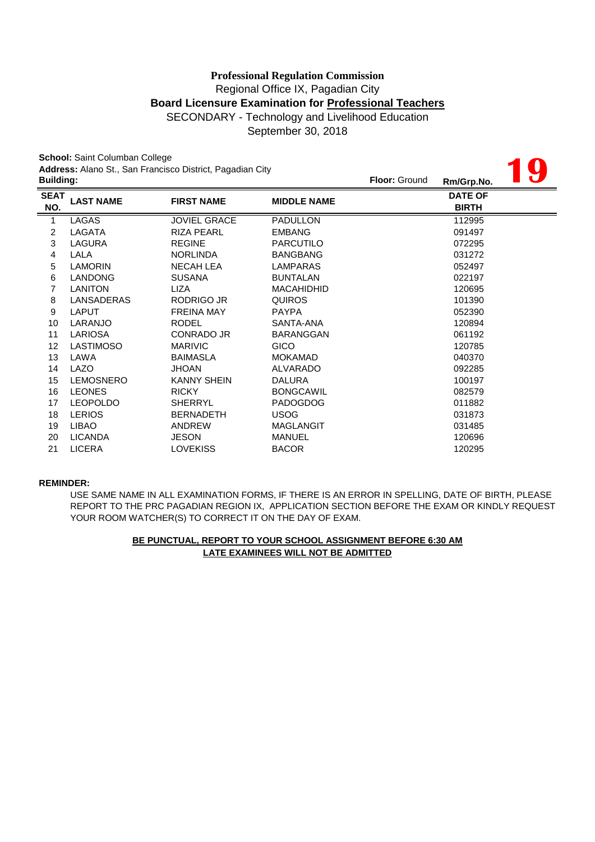September 30, 2018

**19**

**School:** Saint Columban College **Address:** Alano St., San Francisco District, Pagadian City

| <b>Building:</b>   |                  |                     |                    | <b>Floor: Ground</b> | Rm/Grp.No.                     | HI UZ |
|--------------------|------------------|---------------------|--------------------|----------------------|--------------------------------|-------|
| <b>SEAT</b><br>NO. | <b>LAST NAME</b> | <b>FIRST NAME</b>   | <b>MIDDLE NAME</b> |                      | <b>DATE OF</b><br><b>BIRTH</b> |       |
| $\overline{1}$     | <b>LAGAS</b>     | <b>JOVIEL GRACE</b> | <b>PADULLON</b>    |                      | 112995                         |       |
| $\overline{c}$     | LAGATA           | <b>RIZA PEARL</b>   | <b>EMBANG</b>      |                      | 091497                         |       |
| 3                  | LAGURA           | <b>REGINE</b>       | <b>PARCUTILO</b>   |                      | 072295                         |       |
| $\overline{4}$     | LALA             | <b>NORLINDA</b>     | <b>BANGBANG</b>    |                      | 031272                         |       |
| 5                  | <b>LAMORIN</b>   | <b>NECAH LEA</b>    | LAMPARAS           |                      | 052497                         |       |
| 6                  | <b>LANDONG</b>   | <b>SUSANA</b>       | <b>BUNTALAN</b>    |                      | 022197                         |       |
| 7                  | <b>LANITON</b>   | LIZA                | <b>MACAHIDHID</b>  |                      | 120695                         |       |
| 8                  | LANSADERAS       | RODRIGO JR          | <b>QUIROS</b>      |                      | 101390                         |       |
| 9                  | <b>LAPUT</b>     | <b>FREINA MAY</b>   | <b>PAYPA</b>       |                      | 052390                         |       |
| 10                 | LARANJO          | <b>RODEL</b>        | SANTA-ANA          |                      | 120894                         |       |
| 11                 | LARIOSA          | CONRADO JR          | <b>BARANGGAN</b>   |                      | 061192                         |       |
| 12                 | <b>LASTIMOSO</b> | <b>MARIVIC</b>      | <b>GICO</b>        |                      | 120785                         |       |
| 13                 | LAWA             | <b>BAIMASLA</b>     | <b>MOKAMAD</b>     |                      | 040370                         |       |
| 14                 | LAZO             | <b>JHOAN</b>        | ALVARADO           |                      | 092285                         |       |
| 15                 | <b>LEMOSNERO</b> | <b>KANNY SHEIN</b>  | <b>DALURA</b>      |                      | 100197                         |       |
| 16                 | <b>LEONES</b>    | <b>RICKY</b>        | <b>BONGCAWIL</b>   |                      | 082579                         |       |
| 17                 | <b>LEOPOLDO</b>  | <b>SHERRYL</b>      | <b>PADOGDOG</b>    |                      | 011882                         |       |
| 18                 | <b>LERIOS</b>    | <b>BERNADETH</b>    | <b>USOG</b>        |                      | 031873                         |       |
| 19                 | <b>LIBAO</b>     | ANDREW              | <b>MAGLANGIT</b>   |                      | 031485                         |       |
| 20                 | <b>LICANDA</b>   | <b>JESON</b>        | MANUEL             |                      | 120696                         |       |
| 21                 | <b>LICERA</b>    | <b>LOVEKISS</b>     | <b>BACOR</b>       |                      | 120295                         |       |

#### **REMINDER:**

USE SAME NAME IN ALL EXAMINATION FORMS, IF THERE IS AN ERROR IN SPELLING, DATE OF BIRTH, PLEASE REPORT TO THE PRC PAGADIAN REGION IX, APPLICATION SECTION BEFORE THE EXAM OR KINDLY REQUEST YOUR ROOM WATCHER(S) TO CORRECT IT ON THE DAY OF EXAM.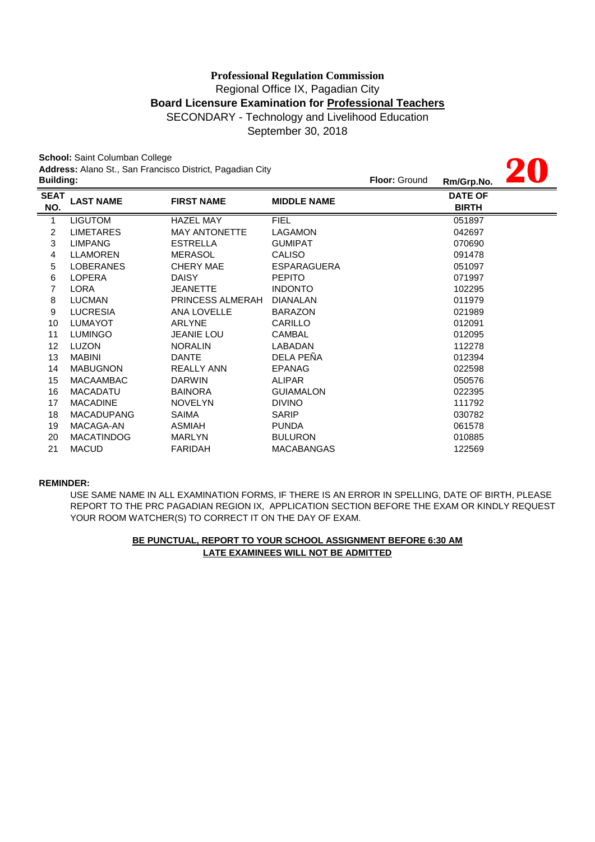# Regional Office IX, Pagadian City **Board Licensure Examination for Professional Teachers** SECONDARY - Technology and Livelihood Education **Professional Regulation Commission**

**20**

September 30, 2018

**School:** Saint Columban College **Address:** Alano St., San Francisco District, Pagadian City

|                    | Address: Alano St., San Francisco District, Pagadian City<br><b>Building:</b> |                      |                    |  | Rm/Grp.No.                     |  |
|--------------------|-------------------------------------------------------------------------------|----------------------|--------------------|--|--------------------------------|--|
| <b>SEAT</b><br>NO. | <b>LAST NAME</b>                                                              | <b>FIRST NAME</b>    | <b>MIDDLE NAME</b> |  | <b>DATE OF</b><br><b>BIRTH</b> |  |
| 1                  | <b>LIGUTOM</b>                                                                | <b>HAZEL MAY</b>     | <b>FIEL</b>        |  | 051897                         |  |
| 2                  | <b>LIMETARES</b>                                                              | <b>MAY ANTONETTE</b> | <b>LAGAMON</b>     |  | 042697                         |  |
| 3                  | <b>LIMPANG</b>                                                                | <b>ESTRELLA</b>      | <b>GUMIPAT</b>     |  | 070690                         |  |
| 4                  | <b>LLAMOREN</b>                                                               | <b>MERASOL</b>       | <b>CALISO</b>      |  | 091478                         |  |
| 5                  | <b>LOBERANES</b>                                                              | <b>CHERY MAE</b>     | <b>ESPARAGUERA</b> |  | 051097                         |  |
| 6                  | <b>LOPERA</b>                                                                 | <b>DAISY</b>         | <b>PEPITO</b>      |  | 071997                         |  |
| 7                  | <b>LORA</b>                                                                   | <b>JEANETTE</b>      | <b>INDONTO</b>     |  | 102295                         |  |
| 8                  | <b>LUCMAN</b>                                                                 | PRINCESS ALMERAH     | <b>DIANALAN</b>    |  | 011979                         |  |
| 9                  | <b>LUCRESIA</b>                                                               | <b>ANA LOVELLE</b>   | <b>BARAZON</b>     |  | 021989                         |  |
| 10                 | <b>LUMAYOT</b>                                                                | <b>ARLYNE</b>        | CARILLO            |  | 012091                         |  |
| 11                 | LUMINGO                                                                       | <b>JEANIE LOU</b>    | <b>CAMBAL</b>      |  | 012095                         |  |
| 12                 | <b>LUZON</b>                                                                  | <b>NORALIN</b>       | LABADAN            |  | 112278                         |  |
| 13                 | <b>MABINI</b>                                                                 | <b>DANTE</b>         | DELA PEÑA          |  | 012394                         |  |
| 14                 | <b>MABUGNON</b>                                                               | <b>REALLY ANN</b>    | <b>EPANAG</b>      |  | 022598                         |  |
| 15                 | <b>MACAAMBAC</b>                                                              | <b>DARWIN</b>        | <b>ALIPAR</b>      |  | 050576                         |  |
| 16                 | <b>MACADATU</b>                                                               | <b>BAINORA</b>       | <b>GUIAMALON</b>   |  | 022395                         |  |
| 17                 | <b>MACADINE</b>                                                               | <b>NOVELYN</b>       | <b>DIVINO</b>      |  | 111792                         |  |
| 18                 | <b>MACADUPANG</b>                                                             | <b>SAIMA</b>         | <b>SARIP</b>       |  | 030782                         |  |
| 19                 | MACAGA-AN                                                                     | ASMIAH               | <b>PUNDA</b>       |  | 061578                         |  |
| 20                 | <b>MACATINDOG</b>                                                             | <b>MARLYN</b>        | <b>BULURON</b>     |  | 010885                         |  |
| 21                 | <b>MACUD</b>                                                                  | <b>FARIDAH</b>       | <b>MACABANGAS</b>  |  | 122569                         |  |
|                    |                                                                               |                      |                    |  |                                |  |

#### **REMINDER:**

USE SAME NAME IN ALL EXAMINATION FORMS, IF THERE IS AN ERROR IN SPELLING, DATE OF BIRTH, PLEASE REPORT TO THE PRC PAGADIAN REGION IX, APPLICATION SECTION BEFORE THE EXAM OR KINDLY REQUEST YOUR ROOM WATCHER(S) TO CORRECT IT ON THE DAY OF EXAM.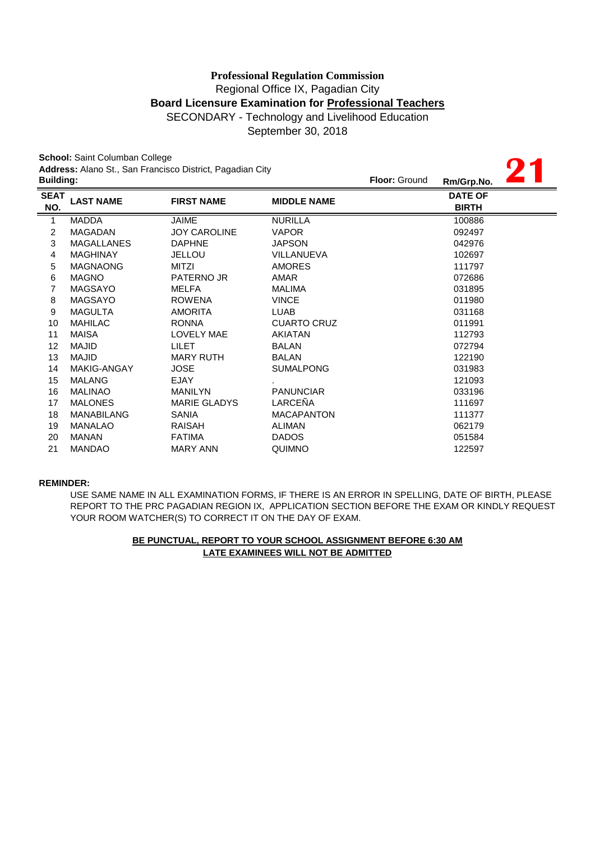# **Board Licensure Examination for Professional Teachers** SECONDARY - Technology and Livelihood Education **Professional Regulation Commission** Regional Office IX, Pagadian City

September 30, 2018

**21**

**School:** Saint Columban College **Address:** Alano St., San Francisco District, Pagadian City

| <b>Building:</b>   |                    |                     |                    | <b>Floor: Ground</b> | Rm/Grp.No.                     |  |
|--------------------|--------------------|---------------------|--------------------|----------------------|--------------------------------|--|
| <b>SEAT</b><br>NO. | <b>LAST NAME</b>   | <b>FIRST NAME</b>   | <b>MIDDLE NAME</b> |                      | <b>DATE OF</b><br><b>BIRTH</b> |  |
| $\mathbf{1}$       | <b>MADDA</b>       | JAIME               | <b>NURILLA</b>     |                      | 100886                         |  |
| $\overline{c}$     | <b>MAGADAN</b>     | <b>JOY CAROLINE</b> | <b>VAPOR</b>       |                      | 092497                         |  |
| 3                  | <b>MAGALLANES</b>  | <b>DAPHNE</b>       | <b>JAPSON</b>      |                      | 042976                         |  |
| 4                  | <b>MAGHINAY</b>    | <b>JELLOU</b>       | VILLANUEVA         |                      | 102697                         |  |
| 5                  | <b>MAGNAONG</b>    | <b>MITZI</b>        | <b>AMORES</b>      |                      | 111797                         |  |
| 6                  | <b>MAGNO</b>       | <b>PATERNO JR</b>   | <b>AMAR</b>        |                      | 072686                         |  |
| 7                  | <b>MAGSAYO</b>     | MELFA               | <b>MALIMA</b>      |                      | 031895                         |  |
| 8                  | <b>MAGSAYO</b>     | <b>ROWENA</b>       | <b>VINCE</b>       |                      | 011980                         |  |
| 9                  | <b>MAGULTA</b>     | <b>AMORITA</b>      | <b>LUAB</b>        |                      | 031168                         |  |
| 10                 | <b>MAHILAC</b>     | <b>RONNA</b>        | <b>CUARTO CRUZ</b> |                      | 011991                         |  |
| 11                 | MAISA              | <b>LOVELY MAE</b>   | AKIATAN            |                      | 112793                         |  |
| 12                 | <b>MAJID</b>       | <b>LILET</b>        | <b>BALAN</b>       |                      | 072794                         |  |
| 13                 | <b>MAJID</b>       | <b>MARY RUTH</b>    | <b>BALAN</b>       |                      | 122190                         |  |
| 14                 | <b>MAKIG-ANGAY</b> | <b>JOSE</b>         | <b>SUMALPONG</b>   |                      | 031983                         |  |
| 15                 | <b>MALANG</b>      | <b>EJAY</b>         |                    |                      | 121093                         |  |
| 16                 | <b>MALINAO</b>     | <b>MANILYN</b>      | <b>PANUNCIAR</b>   |                      | 033196                         |  |
| 17                 | <b>MALONES</b>     | <b>MARIE GLADYS</b> | LARCEÑA            |                      | 111697                         |  |
| 18                 | <b>MANABILANG</b>  | <b>SANIA</b>        | <b>MACAPANTON</b>  |                      | 111377                         |  |
| 19                 | <b>MANALAO</b>     | RAISAH              | <b>ALIMAN</b>      |                      | 062179                         |  |
| 20                 | <b>MANAN</b>       | <b>FATIMA</b>       | <b>DADOS</b>       |                      | 051584                         |  |
| 21                 | <b>MANDAO</b>      | <b>MARY ANN</b>     | <b>QUIMNO</b>      |                      | 122597                         |  |
|                    |                    |                     |                    |                      |                                |  |

#### **REMINDER:**

USE SAME NAME IN ALL EXAMINATION FORMS, IF THERE IS AN ERROR IN SPELLING, DATE OF BIRTH, PLEASE REPORT TO THE PRC PAGADIAN REGION IX, APPLICATION SECTION BEFORE THE EXAM OR KINDLY REQUEST YOUR ROOM WATCHER(S) TO CORRECT IT ON THE DAY OF EXAM.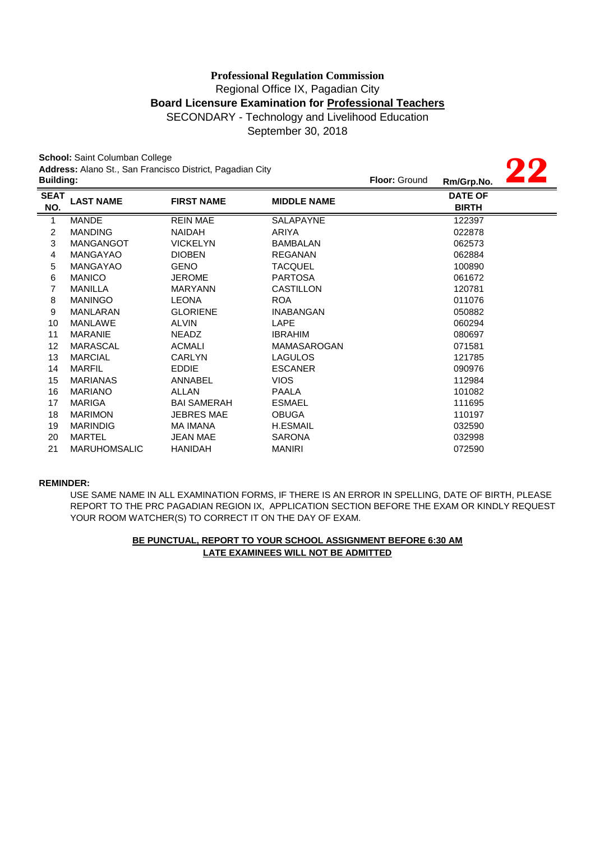# SECONDARY - Technology and Livelihood Education **Professional Regulation Commission** Regional Office IX, Pagadian City **Board Licensure Examination for Professional Teachers**

September 30, 2018

**22**

**School:** Saint Columban College **Address:** Alano St., San Francisco District, Pagadian City

| <b>Building:</b>   |                     |                    |                    | <b>Floor: Ground</b> | Rm/Grp.No.                     |  |
|--------------------|---------------------|--------------------|--------------------|----------------------|--------------------------------|--|
| <b>SEAT</b><br>NO. | <b>LAST NAME</b>    | <b>FIRST NAME</b>  | <b>MIDDLE NAME</b> |                      | <b>DATE OF</b><br><b>BIRTH</b> |  |
| 1                  | <b>MANDE</b>        | <b>REIN MAE</b>    | <b>SALAPAYNE</b>   |                      | 122397                         |  |
| 2                  | <b>MANDING</b>      | <b>NAIDAH</b>      | ARIYA              |                      | 022878                         |  |
| 3                  | <b>MANGANGOT</b>    | <b>VICKELYN</b>    | <b>BAMBALAN</b>    |                      | 062573                         |  |
| 4                  | <b>MANGAYAO</b>     | <b>DIOBEN</b>      | <b>REGANAN</b>     |                      | 062884                         |  |
| 5                  | <b>MANGAYAO</b>     | <b>GENO</b>        | TACQUEL            |                      | 100890                         |  |
| 6                  | <b>MANICO</b>       | <b>JEROME</b>      | <b>PARTOSA</b>     |                      | 061672                         |  |
| 7                  | <b>MANILLA</b>      | <b>MARYANN</b>     | CASTILLON          |                      | 120781                         |  |
| 8                  | <b>MANINGO</b>      | <b>LEONA</b>       | ROA                |                      | 011076                         |  |
| 9                  | <b>MANLARAN</b>     | <b>GLORIENE</b>    | <b>INABANGAN</b>   |                      | 050882                         |  |
| 10                 | <b>MANLAWE</b>      | <b>ALVIN</b>       | <b>LAPE</b>        |                      | 060294                         |  |
| 11                 | <b>MARANIE</b>      | <b>NEADZ</b>       | IBRAHIM            |                      | 080697                         |  |
| 12                 | <b>MARASCAL</b>     | <b>ACMALI</b>      | <b>MAMASAROGAN</b> |                      | 071581                         |  |
| 13                 | <b>MARCIAL</b>      | <b>CARLYN</b>      | <b>LAGULOS</b>     |                      | 121785                         |  |
| 14                 | <b>MARFIL</b>       | <b>EDDIE</b>       | <b>ESCANER</b>     |                      | 090976                         |  |
| 15                 | <b>MARIANAS</b>     | ANNABEL            | <b>VIOS</b>        |                      | 112984                         |  |
| 16                 | <b>MARIANO</b>      | ALLAN              | <b>PAALA</b>       |                      | 101082                         |  |
| 17                 | <b>MARIGA</b>       | <b>BAI SAMERAH</b> | <b>ESMAEL</b>      |                      | 111695                         |  |
| 18                 | <b>MARIMON</b>      | <b>JEBRES MAE</b>  | <b>OBUGA</b>       |                      | 110197                         |  |
| 19                 | <b>MARINDIG</b>     | <b>MA IMANA</b>    | <b>H.ESMAIL</b>    |                      | 032590                         |  |
| 20                 | <b>MARTEL</b>       | <b>JEAN MAE</b>    | <b>SARONA</b>      |                      | 032998                         |  |
| 21                 | <b>MARUHOMSALIC</b> | <b>HANIDAH</b>     | <b>MANIRI</b>      |                      | 072590                         |  |

#### **REMINDER:**

USE SAME NAME IN ALL EXAMINATION FORMS, IF THERE IS AN ERROR IN SPELLING, DATE OF BIRTH, PLEASE REPORT TO THE PRC PAGADIAN REGION IX, APPLICATION SECTION BEFORE THE EXAM OR KINDLY REQUEST YOUR ROOM WATCHER(S) TO CORRECT IT ON THE DAY OF EXAM.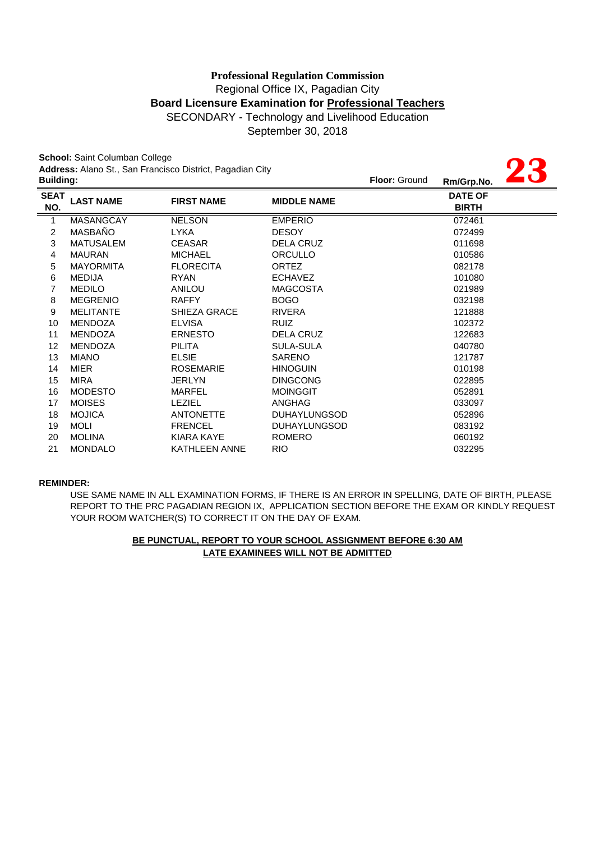September 30, 2018

**23**

**School:** Saint Columban College **Address:** Alano St., San Francisco District, Pagadian City

|                    | <b>Address.</b> Alano Ot., Oan't fancisco District, Fagadian Olty<br><b>Building:</b> |                      |                     |  | 40<br>Rm/Grp.No.               |
|--------------------|---------------------------------------------------------------------------------------|----------------------|---------------------|--|--------------------------------|
| <b>SEAT</b><br>NO. | <b>LAST NAME</b>                                                                      | <b>FIRST NAME</b>    | <b>MIDDLE NAME</b>  |  | <b>DATE OF</b><br><b>BIRTH</b> |
| 1                  | <b>MASANGCAY</b>                                                                      | <b>NELSON</b>        | <b>EMPERIO</b>      |  | 072461                         |
| $\overline{c}$     | MASBAÑO                                                                               | <b>LYKA</b>          | <b>DESOY</b>        |  | 072499                         |
| 3                  | <b>MATUSALEM</b>                                                                      | <b>CEASAR</b>        | <b>DELA CRUZ</b>    |  | 011698                         |
| 4                  | <b>MAURAN</b>                                                                         | <b>MICHAEL</b>       | ORCULLO             |  | 010586                         |
| 5                  | <b>MAYORMITA</b>                                                                      | <b>FLORECITA</b>     | <b>ORTEZ</b>        |  | 082178                         |
| 6                  | <b>MEDIJA</b>                                                                         | <b>RYAN</b>          | <b>ECHAVEZ</b>      |  | 101080                         |
| 7                  | <b>MEDILO</b>                                                                         | ANILOU               | <b>MAGCOSTA</b>     |  | 021989                         |
| 8                  | <b>MEGRENIO</b>                                                                       | <b>RAFFY</b>         | <b>BOGO</b>         |  | 032198                         |
| 9                  | <b>MELITANTE</b>                                                                      | <b>SHIEZA GRACE</b>  | <b>RIVERA</b>       |  | 121888                         |
| 10                 | <b>MENDOZA</b>                                                                        | <b>ELVISA</b>        | <b>RUIZ</b>         |  | 102372                         |
| 11                 | <b>MENDOZA</b>                                                                        | <b>ERNESTO</b>       | <b>DELA CRUZ</b>    |  | 122683                         |
| 12                 | <b>MENDOZA</b>                                                                        | <b>PILITA</b>        | <b>SULA-SULA</b>    |  | 040780                         |
| 13                 | <b>MIANO</b>                                                                          | <b>ELSIE</b>         | <b>SARENO</b>       |  | 121787                         |
| 14                 | <b>MIER</b>                                                                           | <b>ROSEMARIE</b>     | <b>HINOGUIN</b>     |  | 010198                         |
| 15                 | <b>MIRA</b>                                                                           | <b>JERLYN</b>        | <b>DINGCONG</b>     |  | 022895                         |
| 16                 | <b>MODESTO</b>                                                                        | MARFEL               | <b>MOINGGIT</b>     |  | 052891                         |
| 17                 | <b>MOISES</b>                                                                         | <b>LEZIEL</b>        | ANGHAG              |  | 033097                         |
| 18                 | <b>MOJICA</b>                                                                         | <b>ANTONETTE</b>     | <b>DUHAYLUNGSOD</b> |  | 052896                         |
| 19                 | <b>MOLI</b>                                                                           | <b>FRENCEL</b>       | <b>DUHAYLUNGSOD</b> |  | 083192                         |
| 20                 | <b>MOLINA</b>                                                                         | KIARA KAYE           | <b>ROMERO</b>       |  | 060192                         |
| 21                 | <b>MONDALO</b>                                                                        | <b>KATHLEEN ANNE</b> | <b>RIO</b>          |  | 032295                         |

#### **REMINDER:**

USE SAME NAME IN ALL EXAMINATION FORMS, IF THERE IS AN ERROR IN SPELLING, DATE OF BIRTH, PLEASE REPORT TO THE PRC PAGADIAN REGION IX, APPLICATION SECTION BEFORE THE EXAM OR KINDLY REQUEST YOUR ROOM WATCHER(S) TO CORRECT IT ON THE DAY OF EXAM.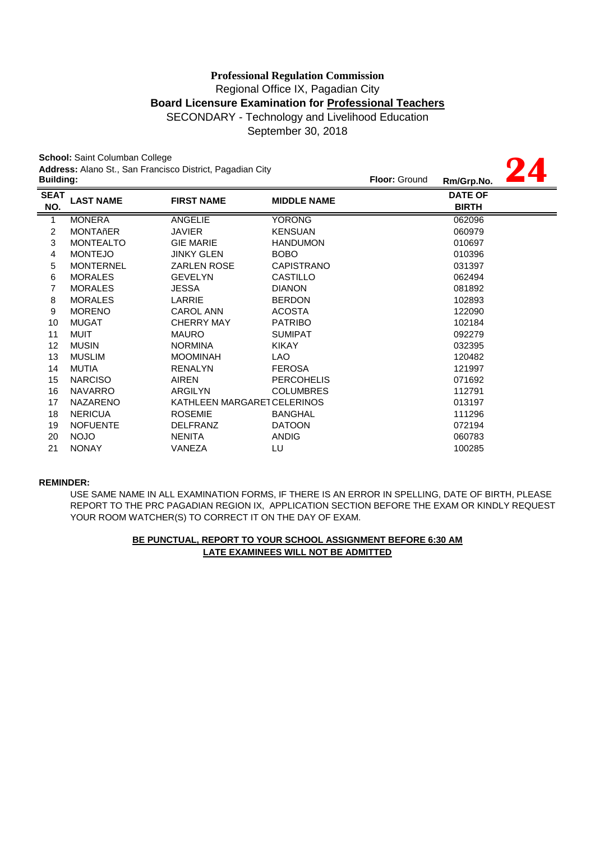September 30, 2018

**24**

**School:** Saint Columban College **Address:** Alano St., San Francisco District, Pagadian City

|                  |                  | <b>Address:</b> Alano St., San Francisco District, Pagadian City |                    |                      |                |  |
|------------------|------------------|------------------------------------------------------------------|--------------------|----------------------|----------------|--|
| <b>Building:</b> |                  |                                                                  |                    | <b>Floor: Ground</b> | Rm/Grp.No.     |  |
| <b>SEAT</b>      | <b>LAST NAME</b> | <b>FIRST NAME</b>                                                | <b>MIDDLE NAME</b> |                      | <b>DATE OF</b> |  |
| NO.              |                  |                                                                  |                    |                      | <b>BIRTH</b>   |  |
| $\mathbf{1}$     | <b>MONERA</b>    | <b>ANGELIE</b>                                                   | <b>YORONG</b>      |                      | 062096         |  |
| 2                | <b>MONTAñER</b>  | <b>JAVIER</b>                                                    | <b>KENSUAN</b>     |                      | 060979         |  |
| 3                | <b>MONTEALTO</b> | <b>GIE MARIE</b>                                                 | <b>HANDUMON</b>    |                      | 010697         |  |
| 4                | <b>MONTEJO</b>   | <b>JINKY GLEN</b>                                                | BOBO               |                      | 010396         |  |
| 5                | <b>MONTERNEL</b> | <b>ZARLEN ROSE</b>                                               | <b>CAPISTRANO</b>  |                      | 031397         |  |
| 6                | <b>MORALES</b>   | <b>GEVELYN</b>                                                   | <b>CASTILLO</b>    |                      | 062494         |  |
| 7                | <b>MORALES</b>   | JESSA                                                            | <b>DIANON</b>      |                      | 081892         |  |
| 8                | <b>MORALES</b>   | LARRIE                                                           | <b>BERDON</b>      |                      | 102893         |  |
| 9                | <b>MORENO</b>    | <b>CAROL ANN</b>                                                 | <b>ACOSTA</b>      |                      | 122090         |  |
| 10               | <b>MUGAT</b>     | <b>CHERRY MAY</b>                                                | <b>PATRIBO</b>     |                      | 102184         |  |
| 11               | MUIT             | <b>MAURO</b>                                                     | <b>SUMIPAT</b>     |                      | 092279         |  |
| 12               | <b>MUSIN</b>     | <b>NORMINA</b>                                                   | <b>KIKAY</b>       |                      | 032395         |  |
| 13               | <b>MUSLIM</b>    | <b>MOOMINAH</b>                                                  | LAO                |                      | 120482         |  |
| 14               | <b>MUTIA</b>     | <b>RENALYN</b>                                                   | <b>FEROSA</b>      |                      | 121997         |  |
| 15               | <b>NARCISO</b>   | <b>AIREN</b>                                                     | <b>PERCOHELIS</b>  |                      | 071692         |  |
| 16               | <b>NAVARRO</b>   | ARGILYN                                                          | <b>COLUMBRES</b>   |                      | 112791         |  |
| 17               | <b>NAZARENO</b>  | KATHLEEN MARGARET CELERINOS                                      |                    |                      | 013197         |  |
| 18               | <b>NERICUA</b>   | <b>ROSEMIE</b>                                                   | <b>BANGHAL</b>     |                      | 111296         |  |
| 19               | <b>NOFUENTE</b>  | <b>DELFRANZ</b>                                                  | <b>DATOON</b>      |                      | 072194         |  |
| 20               | <b>NOJO</b>      | <b>NENITA</b>                                                    | <b>ANDIG</b>       |                      | 060783         |  |
| 21               | <b>NONAY</b>     | VANEZA                                                           | LU                 |                      | 100285         |  |
|                  |                  |                                                                  |                    |                      |                |  |

#### **REMINDER:**

USE SAME NAME IN ALL EXAMINATION FORMS, IF THERE IS AN ERROR IN SPELLING, DATE OF BIRTH, PLEASE REPORT TO THE PRC PAGADIAN REGION IX, APPLICATION SECTION BEFORE THE EXAM OR KINDLY REQUEST YOUR ROOM WATCHER(S) TO CORRECT IT ON THE DAY OF EXAM.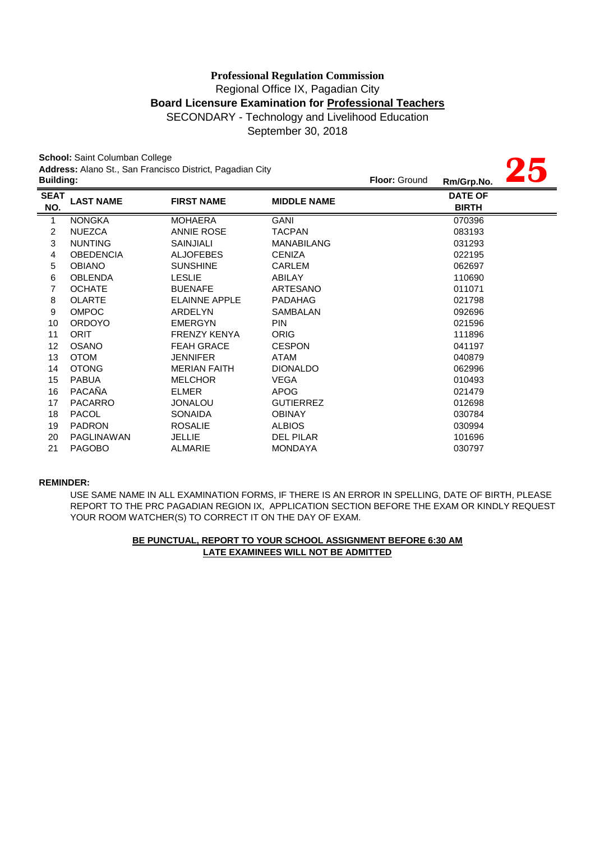September 30, 2018

**25**

**School:** Saint Columban College **Address:** Alano St., San Francisco District, Pagadian City

|                    | Address. Alaho St., San Francisco District, Fagaulan City<br><b>Building:</b> |                      |                    | <b>Floor: Ground</b> | Rm/Grp.No.                     | 40 |
|--------------------|-------------------------------------------------------------------------------|----------------------|--------------------|----------------------|--------------------------------|----|
| <b>SEAT</b><br>NO. | <b>LAST NAME</b>                                                              | <b>FIRST NAME</b>    | <b>MIDDLE NAME</b> |                      | <b>DATE OF</b><br><b>BIRTH</b> |    |
| 1                  | <b>NONGKA</b>                                                                 | <b>MOHAERA</b>       | <b>GANI</b>        |                      | 070396                         |    |
| 2                  | <b>NUEZCA</b>                                                                 | <b>ANNIE ROSE</b>    | <b>TACPAN</b>      |                      | 083193                         |    |
| 3                  | <b>NUNTING</b>                                                                | <b>SAINJIALI</b>     | <b>MANABILANG</b>  |                      | 031293                         |    |
| 4                  | <b>OBEDENCIA</b>                                                              | <b>ALJOFEBES</b>     | <b>CENIZA</b>      |                      | 022195                         |    |
| 5                  | <b>OBIANO</b>                                                                 | <b>SUNSHINE</b>      | <b>CARLEM</b>      |                      | 062697                         |    |
| 6                  | <b>OBLENDA</b>                                                                | <b>LESLIE</b>        | ABILAY             |                      | 110690                         |    |
| 7                  | <b>OCHATE</b>                                                                 | <b>BUENAFE</b>       | ARTESANO           |                      | 011071                         |    |
| 8                  | <b>OLARTE</b>                                                                 | <b>ELAINNE APPLE</b> | PADAHAG            |                      | 021798                         |    |
| 9                  | <b>OMPOC</b>                                                                  | ARDELYN              | SAMBALAN           |                      | 092696                         |    |
| 10                 | <b>ORDOYO</b>                                                                 | <b>EMERGYN</b>       | PIN                |                      | 021596                         |    |
| 11                 | <b>ORIT</b>                                                                   | <b>FRENZY KENYA</b>  | <b>ORIG</b>        |                      | 111896                         |    |
| 12                 | <b>OSANO</b>                                                                  | <b>FEAH GRACE</b>    | <b>CESPON</b>      |                      | 041197                         |    |
| 13                 | <b>OTOM</b>                                                                   | <b>JENNIFER</b>      | ATAM               |                      | 040879                         |    |
| 14                 | <b>OTONG</b>                                                                  | <b>MERIAN FAITH</b>  | <b>DIONALDO</b>    |                      | 062996                         |    |
| 15                 | <b>PABUA</b>                                                                  | <b>MELCHOR</b>       | <b>VEGA</b>        |                      | 010493                         |    |
| 16                 | <b>PACAÑA</b>                                                                 | <b>ELMER</b>         | <b>APOG</b>        |                      | 021479                         |    |
| 17                 | <b>PACARRO</b>                                                                | <b>JONALOU</b>       | <b>GUTIERREZ</b>   |                      | 012698                         |    |
| 18                 | <b>PACOL</b>                                                                  | <b>SONAIDA</b>       | <b>OBINAY</b>      |                      | 030784                         |    |
| 19                 | <b>PADRON</b>                                                                 | <b>ROSALIE</b>       | <b>ALBIOS</b>      |                      | 030994                         |    |
| 20                 | PAGLINAWAN                                                                    | <b>JELLIE</b>        | <b>DEL PILAR</b>   |                      | 101696                         |    |
| 21                 | <b>PAGOBO</b>                                                                 | ALMARIE              | <b>MONDAYA</b>     |                      | 030797                         |    |

#### **REMINDER:**

USE SAME NAME IN ALL EXAMINATION FORMS, IF THERE IS AN ERROR IN SPELLING, DATE OF BIRTH, PLEASE REPORT TO THE PRC PAGADIAN REGION IX, APPLICATION SECTION BEFORE THE EXAM OR KINDLY REQUEST YOUR ROOM WATCHER(S) TO CORRECT IT ON THE DAY OF EXAM.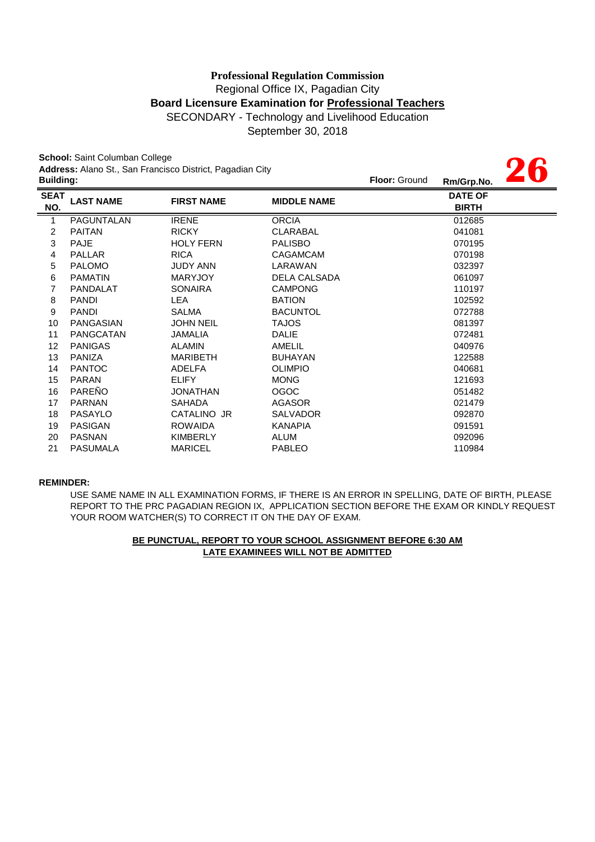September 30, 2018

**26**

**School:** Saint Columban College **Address:** Alano St., San Francisco District, Pagadian City

| <b>Building:</b>   |                   |                   |                     | <b>Floor: Ground</b> | Rm/Grp.No.                     | I W |
|--------------------|-------------------|-------------------|---------------------|----------------------|--------------------------------|-----|
| <b>SEAT</b><br>NO. | <b>LAST NAME</b>  | <b>FIRST NAME</b> | <b>MIDDLE NAME</b>  |                      | <b>DATE OF</b><br><b>BIRTH</b> |     |
| $\mathbf{1}$       | <b>PAGUNTALAN</b> | <b>IRENE</b>      | <b>ORCIA</b>        |                      | 012685                         |     |
| $\overline{c}$     | <b>PAITAN</b>     | <b>RICKY</b>      | <b>CLARABAL</b>     |                      | 041081                         |     |
| 3                  | PAJE              | <b>HOLY FERN</b>  | <b>PALISBO</b>      |                      | 070195                         |     |
| 4                  | <b>PALLAR</b>     | <b>RICA</b>       | CAGAMCAM            |                      | 070198                         |     |
| 5                  | <b>PALOMO</b>     | <b>JUDY ANN</b>   | LARAWAN             |                      | 032397                         |     |
| 6                  | <b>PAMATIN</b>    | <b>MARYJOY</b>    | <b>DELA CALSADA</b> |                      | 061097                         |     |
| $\overline{7}$     | <b>PANDALAT</b>   | <b>SONAIRA</b>    | <b>CAMPONG</b>      |                      | 110197                         |     |
| 8                  | <b>PANDI</b>      | <b>LEA</b>        | <b>BATION</b>       |                      | 102592                         |     |
| 9                  | <b>PANDI</b>      | <b>SALMA</b>      | <b>BACUNTOL</b>     |                      | 072788                         |     |
| 10                 | PANGASIAN         | <b>JOHN NEIL</b>  | <b>TAJOS</b>        |                      | 081397                         |     |
| 11                 | PANGCATAN         | JAMALIA           | <b>DALIE</b>        |                      | 072481                         |     |
| 12                 | <b>PANIGAS</b>    | <b>ALAMIN</b>     | AMELIL              |                      | 040976                         |     |
| 13                 | PANIZA            | <b>MARIBETH</b>   | <b>BUHAYAN</b>      |                      | 122588                         |     |
| 14                 | <b>PANTOC</b>     | <b>ADELFA</b>     | <b>OLIMPIO</b>      |                      | 040681                         |     |
| 15                 | <b>PARAN</b>      | <b>ELIFY</b>      | <b>MONG</b>         |                      | 121693                         |     |
| 16                 | <b>PAREÑO</b>     | <b>JONATHAN</b>   | <b>OGOC</b>         |                      | 051482                         |     |
| 17                 | <b>PARNAN</b>     | <b>SAHADA</b>     | AGASOR              |                      | 021479                         |     |
| 18                 | <b>PASAYLO</b>    | CATALINO JR       | <b>SALVADOR</b>     |                      | 092870                         |     |
| 19                 | <b>PASIGAN</b>    | <b>ROWAIDA</b>    | KANAPIA             |                      | 091591                         |     |
| 20                 | <b>PASNAN</b>     | <b>KIMBERLY</b>   | ALUM                |                      | 092096                         |     |
| 21                 | <b>PASUMALA</b>   | <b>MARICEL</b>    | <b>PABLEO</b>       |                      | 110984                         |     |
|                    |                   |                   |                     |                      |                                |     |

#### **REMINDER:**

REPORT TO THE PRC PAGADIAN REGION IX, APPLICATION SECTION BEFORE THE EXAM OR KINDLY REQUEST YOUR ROOM WATCHER(S) TO CORRECT IT ON THE DAY OF EXAM. USE SAME NAME IN ALL EXAMINATION FORMS, IF THERE IS AN ERROR IN SPELLING, DATE OF BIRTH, PLEASE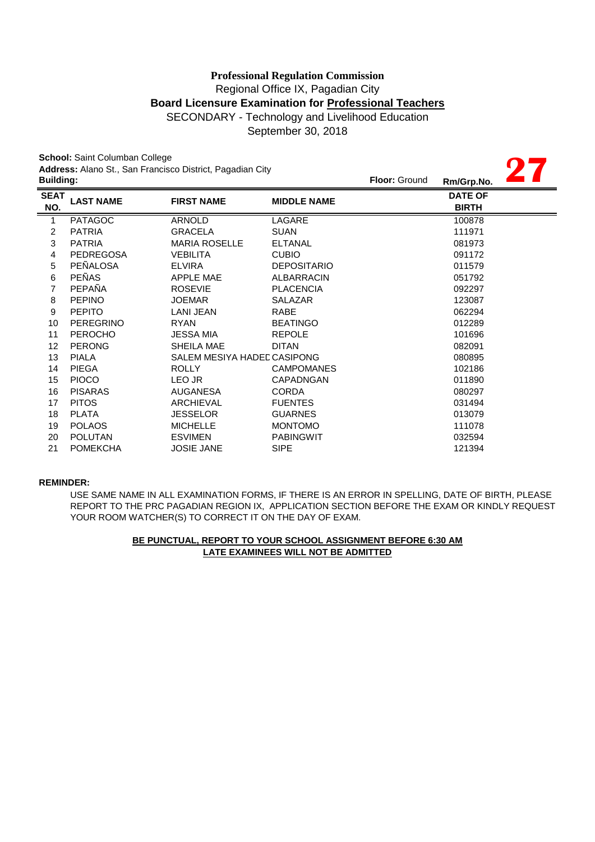September 30, 2018

**27**

**School:** Saint Columban College **Address:** Alano St., San Francisco District, Pagadian City

|                    | <b>Address:</b> Alano St., San Francisco District, Pagadian City<br><b>Building:</b> |                             |                    | <b>Floor: Ground</b> | Rm/Grp.No.                     |  |
|--------------------|--------------------------------------------------------------------------------------|-----------------------------|--------------------|----------------------|--------------------------------|--|
| <b>SEAT</b><br>NO. | <b>LAST NAME</b>                                                                     | <b>FIRST NAME</b>           | <b>MIDDLE NAME</b> |                      | <b>DATE OF</b><br><b>BIRTH</b> |  |
| 1                  | <b>PATAGOC</b>                                                                       | <b>ARNOLD</b>               | LAGARE             |                      | 100878                         |  |
| $\overline{c}$     | <b>PATRIA</b>                                                                        | <b>GRACELA</b>              | <b>SUAN</b>        |                      | 111971                         |  |
| 3                  | <b>PATRIA</b>                                                                        | <b>MARIA ROSELLE</b>        | <b>ELTANAL</b>     |                      | 081973                         |  |
| 4                  | <b>PEDREGOSA</b>                                                                     | <b>VEBILITA</b>             | <b>CUBIO</b>       |                      | 091172                         |  |
| 5                  | PEÑALOSA                                                                             | <b>ELVIRA</b>               | <b>DEPOSITARIO</b> |                      | 011579                         |  |
| 6                  | <b>PEÑAS</b>                                                                         | <b>APPLE MAE</b>            | ALBARRACIN         |                      | 051792                         |  |
| 7                  | PEPAÑA                                                                               | <b>ROSEVIE</b>              | <b>PLACENCIA</b>   |                      | 092297                         |  |
| 8                  | <b>PEPINO</b>                                                                        | <b>JOEMAR</b>               | SALAZAR            |                      | 123087                         |  |
| 9                  | <b>PEPITO</b>                                                                        | LANI JEAN                   | RABE               |                      | 062294                         |  |
| 10                 | <b>PEREGRINO</b>                                                                     | <b>RYAN</b>                 | <b>BEATINGO</b>    |                      | 012289                         |  |
| 11                 | <b>PEROCHO</b>                                                                       | <b>JESSA MIA</b>            | <b>REPOLE</b>      |                      | 101696                         |  |
| 12                 | <b>PERONG</b>                                                                        | SHEILA MAE                  | <b>DITAN</b>       |                      | 082091                         |  |
| 13                 | <b>PIALA</b>                                                                         | SALEM MESIYA HADED CASIPONG |                    |                      | 080895                         |  |
| 14                 | <b>PIEGA</b>                                                                         | <b>ROLLY</b>                | <b>CAMPOMANES</b>  |                      | 102186                         |  |
| 15                 | <b>PIOCO</b>                                                                         | LEO JR                      | CAPADNGAN          |                      | 011890                         |  |
| 16                 | <b>PISARAS</b>                                                                       | <b>AUGANESA</b>             | <b>CORDA</b>       |                      | 080297                         |  |
| 17                 | <b>PITOS</b>                                                                         | ARCHIEVAL                   | <b>FUENTES</b>     |                      | 031494                         |  |
| 18                 | <b>PLATA</b>                                                                         | <b>JESSELOR</b>             | <b>GUARNES</b>     |                      | 013079                         |  |
| 19                 | <b>POLAOS</b>                                                                        | <b>MICHELLE</b>             | <b>MONTOMO</b>     |                      | 111078                         |  |
| 20                 | <b>POLUTAN</b>                                                                       | <b>ESVIMEN</b>              | <b>PABINGWIT</b>   |                      | 032594                         |  |
| 21                 | <b>POMEKCHA</b>                                                                      | <b>JOSIE JANE</b>           | <b>SIPE</b>        |                      | 121394                         |  |

#### **REMINDER:**

YOUR ROOM WATCHER(S) TO CORRECT IT ON THE DAY OF EXAM. USE SAME NAME IN ALL EXAMINATION FORMS, IF THERE IS AN ERROR IN SPELLING, DATE OF BIRTH, PLEASE REPORT TO THE PRC PAGADIAN REGION IX, APPLICATION SECTION BEFORE THE EXAM OR KINDLY REQUEST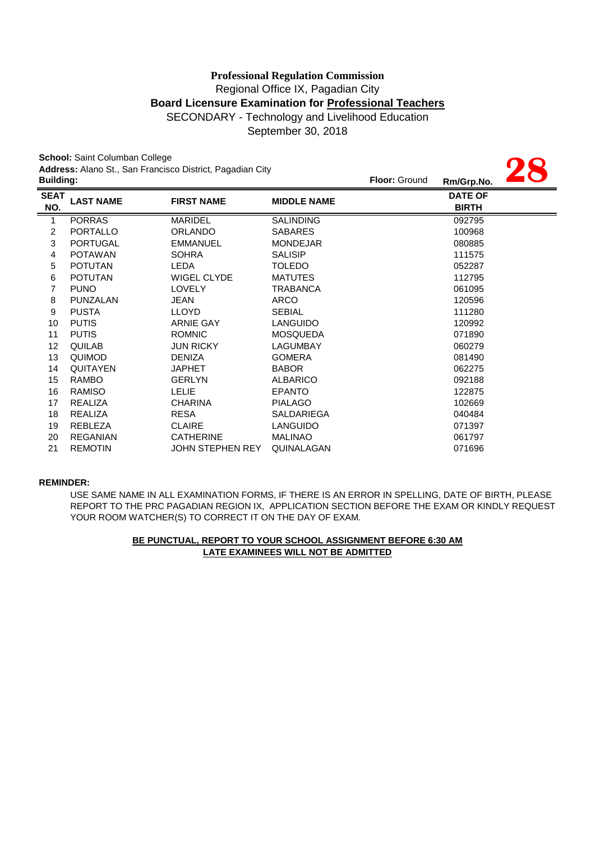September 30, 2018

|                  | School: Saint Columban College |                                                           |                    |               |                |  |
|------------------|--------------------------------|-----------------------------------------------------------|--------------------|---------------|----------------|--|
|                  |                                | Address: Alano St., San Francisco District, Pagadian City |                    |               |                |  |
| <b>Building:</b> |                                |                                                           |                    | Floor: Ground | Rm/Grp.No.     |  |
| <b>SEAT</b>      | <b>LAST NAME</b>               | <b>FIRST NAME</b>                                         | <b>MIDDLE NAME</b> |               | <b>DATE OF</b> |  |
| NO.              |                                |                                                           |                    |               | <b>BIRTH</b>   |  |
| $\mathbf{1}$     | <b>PORRAS</b>                  | <b>MARIDEL</b>                                            | <b>SALINDING</b>   |               | 092795         |  |
| 2                | <b>PORTALLO</b>                | <b>ORLANDO</b>                                            | <b>SABARES</b>     |               | 100968         |  |
| 3                | <b>PORTUGAL</b>                | <b>EMMANUEL</b>                                           | <b>MONDEJAR</b>    |               | 080885         |  |
| 4                | <b>POTAWAN</b>                 | <b>SOHRA</b>                                              | <b>SALISIP</b>     |               | 111575         |  |
| 5                | <b>POTUTAN</b>                 | <b>LEDA</b>                                               | <b>TOLEDO</b>      |               | 052287         |  |
| 6                | <b>POTUTAN</b>                 | WIGEL CLYDE                                               | <b>MATUTES</b>     |               | 112795         |  |
| $\overline{7}$   | <b>PUNO</b>                    | <b>LOVELY</b>                                             | <b>TRABANCA</b>    |               | 061095         |  |
| 8                | PUNZALAN                       | <b>JEAN</b>                                               | <b>ARCO</b>        |               | 120596         |  |
| 9                | <b>PUSTA</b>                   | <b>LLOYD</b>                                              | <b>SEBIAL</b>      |               | 111280         |  |
| 10               | <b>PUTIS</b>                   | <b>ARNIE GAY</b>                                          | <b>LANGUIDO</b>    |               | 120992         |  |
| 11               | <b>PUTIS</b>                   | <b>ROMNIC</b>                                             | <b>MOSQUEDA</b>    |               | 071890         |  |
| 12               | QUILAB                         | <b>JUN RICKY</b>                                          | <b>LAGUMBAY</b>    |               | 060279         |  |
| 13               | <b>QUIMOD</b>                  | <b>DENIZA</b>                                             | <b>GOMERA</b>      |               | 081490         |  |
| 14               | <b>QUITAYEN</b>                | <b>JAPHET</b>                                             | <b>BABOR</b>       |               | 062275         |  |
| 15               | <b>RAMBO</b>                   | <b>GERLYN</b>                                             | <b>ALBARICO</b>    |               | 092188         |  |
| 16               | RAMISO                         | <b>LELIE</b>                                              | <b>EPANTO</b>      |               | 122875         |  |
| 17               | <b>REALIZA</b>                 | <b>CHARINA</b>                                            | <b>PIALAGO</b>     |               | 102669         |  |
| 18               | <b>REALIZA</b>                 | <b>RESA</b>                                               | <b>SALDARIEGA</b>  |               | 040484         |  |
| 19               | REBLEZA                        | <b>CLAIRE</b>                                             | <b>LANGUIDO</b>    |               | 071397         |  |
| 20               | <b>REGANIAN</b>                | <b>CATHERINE</b>                                          | <b>MALINAO</b>     |               | 061797         |  |
| 21               | <b>REMOTIN</b>                 | <b>JOHN STEPHEN REY</b>                                   | QUINALAGAN         |               | 071696         |  |

#### **REMINDER:**

USE SAME NAME IN ALL EXAMINATION FORMS, IF THERE IS AN ERROR IN SPELLING, DATE OF BIRTH, PLEASE REPORT TO THE PRC PAGADIAN REGION IX, APPLICATION SECTION BEFORE THE EXAM OR KINDLY REQUEST YOUR ROOM WATCHER(S) TO CORRECT IT ON THE DAY OF EXAM.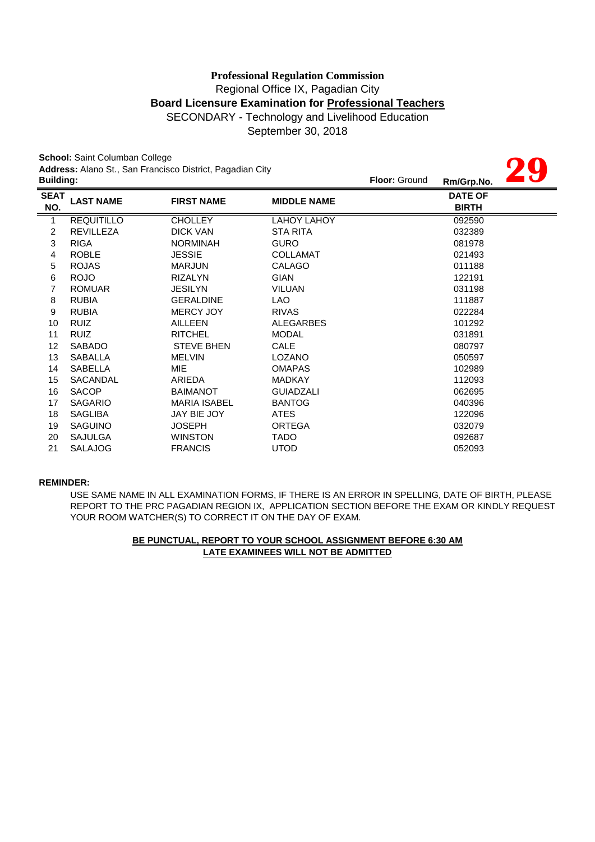September 30, 2018

**29**

**School:** Saint Columban College **Address:** Alano St., San Francisco District, Pagadian City

|                    | <b>Building:</b>  |                     |                    | <b>Floor: Ground</b> | Rm/Grp.No.                     | $\blacksquare$ |
|--------------------|-------------------|---------------------|--------------------|----------------------|--------------------------------|----------------|
| <b>SEAT</b><br>NO. | <b>LAST NAME</b>  | <b>FIRST NAME</b>   | <b>MIDDLE NAME</b> |                      | <b>DATE OF</b><br><b>BIRTH</b> |                |
| 1                  | <b>REQUITILLO</b> | <b>CHOLLEY</b>      | LAHOY LAHOY        |                      | 092590                         |                |
| $\overline{c}$     | <b>REVILLEZA</b>  | <b>DICK VAN</b>     | <b>STA RITA</b>    |                      | 032389                         |                |
| 3                  | <b>RIGA</b>       | <b>NORMINAH</b>     | <b>GURO</b>        |                      | 081978                         |                |
| 4                  | <b>ROBLE</b>      | <b>JESSIE</b>       | <b>COLLAMAT</b>    |                      | 021493                         |                |
| 5                  | <b>ROJAS</b>      | <b>MARJUN</b>       | <b>CALAGO</b>      |                      | 011188                         |                |
| 6                  | <b>ROJO</b>       | <b>RIZALYN</b>      | <b>GIAN</b>        |                      | 122191                         |                |
| 7                  | <b>ROMUAR</b>     | <b>JESILYN</b>      | <b>VILUAN</b>      |                      | 031198                         |                |
| 8                  | <b>RUBIA</b>      | <b>GERALDINE</b>    | LAO                |                      | 111887                         |                |
| 9                  | <b>RUBIA</b>      | <b>MERCY JOY</b>    | <b>RIVAS</b>       |                      | 022284                         |                |
| 10                 | <b>RUIZ</b>       | <b>AILLEEN</b>      | <b>ALEGARBES</b>   |                      | 101292                         |                |
| 11                 | <b>RUIZ</b>       | <b>RITCHEL</b>      | <b>MODAL</b>       |                      | 031891                         |                |
| 12                 | <b>SABADO</b>     | <b>STEVE BHEN</b>   | <b>CALE</b>        |                      | 080797                         |                |
| 13                 | <b>SABALLA</b>    | <b>MELVIN</b>       | <b>LOZANO</b>      |                      | 050597                         |                |
| 14                 | SABELLA           | MIE.                | <b>OMAPAS</b>      |                      | 102989                         |                |
| 15                 | SACANDAL          | ARIEDA              | <b>MADKAY</b>      |                      | 112093                         |                |
| 16                 | <b>SACOP</b>      | <b>BAIMANOT</b>     | <b>GUIADZALI</b>   |                      | 062695                         |                |
| 17                 | <b>SAGARIO</b>    | <b>MARIA ISABEL</b> | <b>BANTOG</b>      |                      | 040396                         |                |
| 18                 | <b>SAGLIBA</b>    | JAY BIE JOY         | ATES               |                      | 122096                         |                |
| 19                 | <b>SAGUINO</b>    | <b>JOSEPH</b>       | <b>ORTEGA</b>      |                      | 032079                         |                |
| 20                 | <b>SAJULGA</b>    | <b>WINSTON</b>      | <b>TADO</b>        |                      | 092687                         |                |
| 21                 | <b>SALAJOG</b>    | <b>FRANCIS</b>      | <b>UTOD</b>        |                      | 052093                         |                |

#### **REMINDER:**

USE SAME NAME IN ALL EXAMINATION FORMS, IF THERE IS AN ERROR IN SPELLING, DATE OF BIRTH, PLEASE REPORT TO THE PRC PAGADIAN REGION IX, APPLICATION SECTION BEFORE THE EXAM OR KINDLY REQUEST YOUR ROOM WATCHER(S) TO CORRECT IT ON THE DAY OF EXAM.

## **LATE EXAMINEES WILL NOT BE ADMITTED BE PUNCTUAL, REPORT TO YOUR SCHOOL ASSIGNMENT BEFORE 6:30 AM**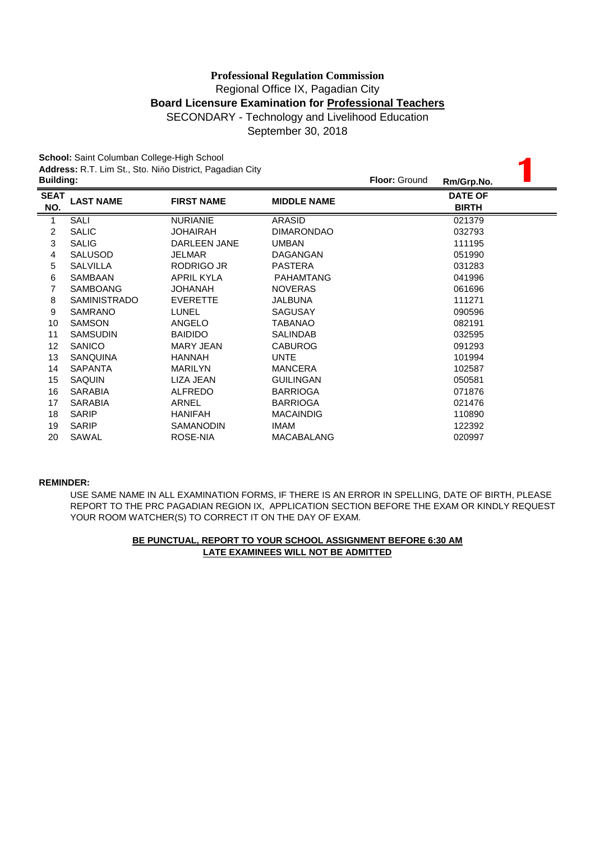September 30, 2018

**School:** Saint Columban College-High School

|                  | School: Saint Columban College-High School |                                                          |                    |                      |                |  |
|------------------|--------------------------------------------|----------------------------------------------------------|--------------------|----------------------|----------------|--|
|                  |                                            | Address: R.T. Lim St., Sto. Niňo District, Pagadian City |                    | <b>Floor: Ground</b> |                |  |
| <b>Building:</b> |                                            |                                                          |                    |                      | Rm/Grp.No.     |  |
| <b>SEAT</b>      | <b>LAST NAME</b>                           | <b>FIRST NAME</b>                                        | <b>MIDDLE NAME</b> |                      | <b>DATE OF</b> |  |
| NO.              |                                            |                                                          |                    |                      | <b>BIRTH</b>   |  |
| 1                | SALI                                       | <b>NURIANIE</b>                                          | ARASID             |                      | 021379         |  |
| 2                | <b>SALIC</b>                               | <b>JOHAIRAH</b>                                          | <b>DIMARONDAO</b>  |                      | 032793         |  |
| 3                | <b>SALIG</b>                               | DARLEEN JANE                                             | <b>UMBAN</b>       |                      | 111195         |  |
| 4                | <b>SALUSOD</b>                             | <b>JELMAR</b>                                            | DAGANGAN           |                      | 051990         |  |
| 5                | <b>SALVILLA</b>                            | RODRIGO JR                                               | <b>PASTERA</b>     |                      | 031283         |  |
| 6                | <b>SAMBAAN</b>                             | <b>APRIL KYLA</b>                                        | <b>PAHAMTANG</b>   |                      | 041996         |  |
| 7                | SAMBOANG                                   | <b>JOHANAH</b>                                           | <b>NOVERAS</b>     |                      | 061696         |  |
| 8                | <b>SAMINISTRADO</b>                        | <b>EVERETTE</b>                                          | JALBUNA            |                      | 111271         |  |
| 9                | <b>SAMRANO</b>                             | <b>LUNEL</b>                                             | <b>SAGUSAY</b>     |                      | 090596         |  |
| 10               | <b>SAMSON</b>                              | <b>ANGELO</b>                                            | <b>TABANAO</b>     |                      | 082191         |  |
| 11               | <b>SAMSUDIN</b>                            | <b>BAIDIDO</b>                                           | <b>SALINDAB</b>    |                      | 032595         |  |
| 12               | <b>SANICO</b>                              | MARY JEAN                                                | <b>CABUROG</b>     |                      | 091293         |  |
| 13               | <b>SANQUINA</b>                            | <b>HANNAH</b>                                            | <b>UNTE</b>        |                      | 101994         |  |
| 14               | <b>SAPANTA</b>                             | <b>MARILYN</b>                                           | <b>MANCERA</b>     |                      | 102587         |  |
| 15               | <b>SAQUIN</b>                              | LIZA JEAN                                                | <b>GUILINGAN</b>   |                      | 050581         |  |
| 16               | <b>SARABIA</b>                             | <b>ALFREDO</b>                                           | <b>BARRIOGA</b>    |                      | 071876         |  |
| 17               | <b>SARABIA</b>                             | <b>ARNEL</b>                                             | <b>BARRIOGA</b>    |                      | 021476         |  |
| 18               | <b>SARIP</b>                               | <b>HANIFAH</b>                                           | <b>MACAINDIG</b>   |                      | 110890         |  |
| 19               | <b>SARIP</b>                               | <b>SAMANODIN</b>                                         | <b>IMAM</b>        |                      | 122392         |  |
| 20               | SAWAL                                      | ROSE-NIA                                                 | <b>MACABALANG</b>  |                      | 020997         |  |

#### **REMINDER:**

USE SAME NAME IN ALL EXAMINATION FORMS, IF THERE IS AN ERROR IN SPELLING, DATE OF BIRTH, PLEASE REPORT TO THE PRC PAGADIAN REGION IX, APPLICATION SECTION BEFORE THE EXAM OR KINDLY REQUEST YOUR ROOM WATCHER(S) TO CORRECT IT ON THE DAY OF EXAM.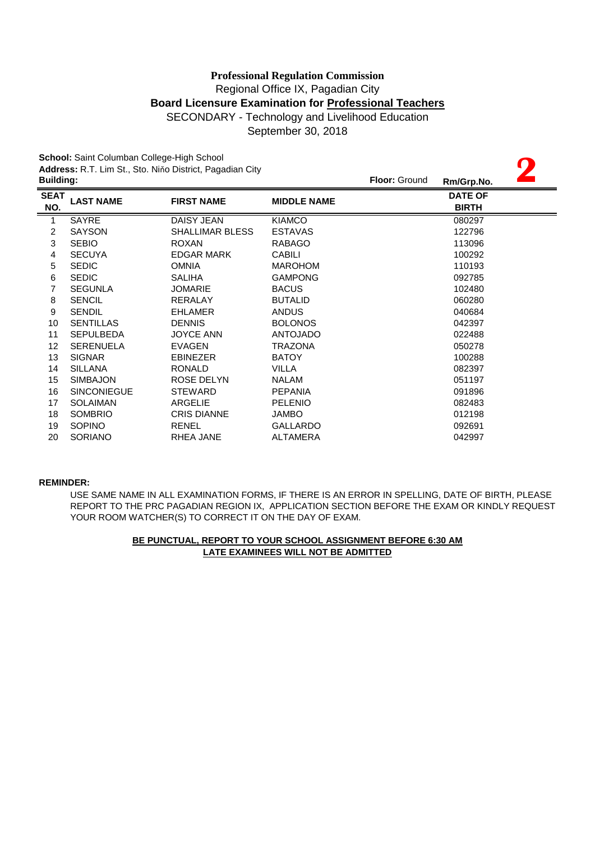September 30, 2018

**2**

**School:** Saint Columban College-High School

**Address:** R.T. Lim St., Sto. Niňo District, Pagadian City

| <b>Building:</b>   |                    |                        |                    | <b>Floor: Ground</b> | Rm/Grp.No.                     |  |
|--------------------|--------------------|------------------------|--------------------|----------------------|--------------------------------|--|
| <b>SEAT</b><br>NO. | <b>LAST NAME</b>   | <b>FIRST NAME</b>      | <b>MIDDLE NAME</b> |                      | <b>DATE OF</b><br><b>BIRTH</b> |  |
| 1                  | SAYRE              | DAISY JEAN             | <b>KIAMCO</b>      |                      | 080297                         |  |
| $\overline{c}$     | <b>SAYSON</b>      | <b>SHALLIMAR BLESS</b> | <b>ESTAVAS</b>     |                      | 122796                         |  |
| $\mathbf{3}$       | <b>SEBIO</b>       | <b>ROXAN</b>           | <b>RABAGO</b>      |                      | 113096                         |  |
| 4                  | <b>SECUYA</b>      | <b>EDGAR MARK</b>      | <b>CABILI</b>      |                      | 100292                         |  |
| 5                  | <b>SEDIC</b>       | <b>OMNIA</b>           | <b>MAROHOM</b>     |                      | 110193                         |  |
| 6                  | <b>SEDIC</b>       | <b>SALIHA</b>          | <b>GAMPONG</b>     |                      | 092785                         |  |
| 7                  | <b>SEGUNLA</b>     | <b>JOMARIE</b>         | <b>BACUS</b>       |                      | 102480                         |  |
| 8                  | <b>SENCIL</b>      | <b>RERALAY</b>         | <b>BUTALID</b>     |                      | 060280                         |  |
| 9                  | <b>SENDIL</b>      | <b>EHLAMER</b>         | <b>ANDUS</b>       |                      | 040684                         |  |
| 10                 | <b>SENTILLAS</b>   | <b>DENNIS</b>          | <b>BOLONOS</b>     |                      | 042397                         |  |
| 11                 | <b>SEPULBEDA</b>   | <b>JOYCE ANN</b>       | <b>ANTOJADO</b>    |                      | 022488                         |  |
| 12                 | <b>SERENUELA</b>   | <b>EVAGEN</b>          | <b>TRAZONA</b>     |                      | 050278                         |  |
| 13                 | <b>SIGNAR</b>      | <b>EBINEZER</b>        | <b>BATOY</b>       |                      | 100288                         |  |
| 14                 | <b>SILLANA</b>     | <b>RONALD</b>          | <b>VILLA</b>       |                      | 082397                         |  |
| 15                 | <b>SIMBAJON</b>    | ROSE DELYN             | <b>NALAM</b>       |                      | 051197                         |  |
| 16                 | <b>SINCONIEGUE</b> | <b>STEWARD</b>         | <b>PEPANIA</b>     |                      | 091896                         |  |
| 17                 | <b>SOLAIMAN</b>    | ARGELIE                | <b>PELENIO</b>     |                      | 082483                         |  |
| 18                 | <b>SOMBRIO</b>     | <b>CRIS DIANNE</b>     | <b>JAMBO</b>       |                      | 012198                         |  |
| 19                 | <b>SOPINO</b>      | <b>RENEL</b>           | <b>GALLARDO</b>    |                      | 092691                         |  |
| 20                 | <b>SORIANO</b>     | RHEA JANE              | <b>ALTAMERA</b>    |                      | 042997                         |  |

#### **REMINDER:**

USE SAME NAME IN ALL EXAMINATION FORMS, IF THERE IS AN ERROR IN SPELLING, DATE OF BIRTH, PLEASE REPORT TO THE PRC PAGADIAN REGION IX, APPLICATION SECTION BEFORE THE EXAM OR KINDLY REQUEST YOUR ROOM WATCHER(S) TO CORRECT IT ON THE DAY OF EXAM.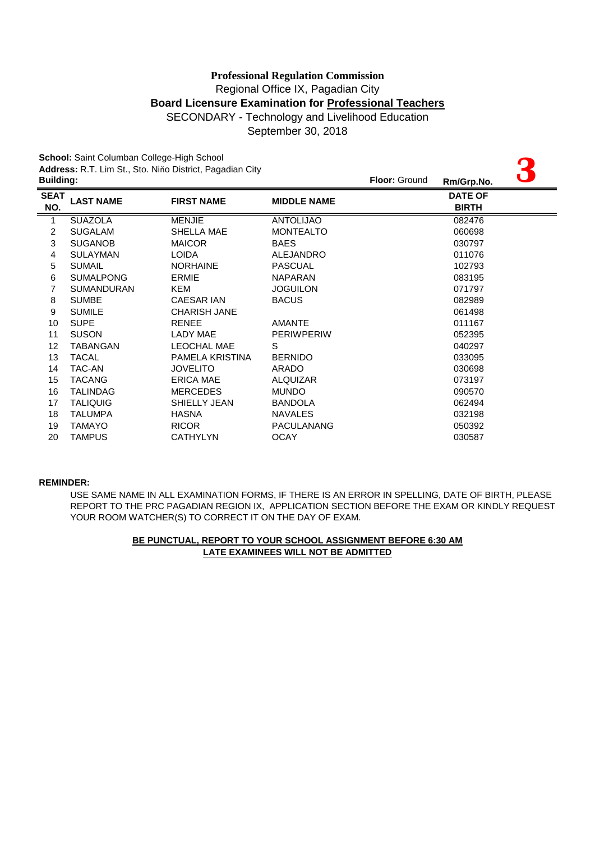# Regional Office IX, Pagadian City **Board Licensure Examination for Professional Teachers** SECONDARY - Technology and Livelihood Education **Professional Regulation Commission**

September 30, 2018

**School:** Saint Columban College-High School

| School: Saint Columban College-High School |                   |                                                          |                    |                      |                |  |
|--------------------------------------------|-------------------|----------------------------------------------------------|--------------------|----------------------|----------------|--|
| <b>Building:</b>                           |                   | Address: R.T. Lim St., Sto. Niňo District, Pagadian City |                    | <b>Floor: Ground</b> |                |  |
|                                            |                   |                                                          |                    |                      | Rm/Grp.No.     |  |
| <b>SEAT</b>                                | <b>LAST NAME</b>  | <b>FIRST NAME</b>                                        | <b>MIDDLE NAME</b> |                      | <b>DATE OF</b> |  |
| NO.                                        |                   |                                                          |                    |                      | <b>BIRTH</b>   |  |
|                                            | <b>SUAZOLA</b>    | <b>MENJIE</b>                                            | <b>ANTOLIJAO</b>   |                      | 082476         |  |
| 2                                          | <b>SUGALAM</b>    | SHELLA MAE                                               | <b>MONTEALTO</b>   |                      | 060698         |  |
| 3                                          | <b>SUGANOB</b>    | <b>MAICOR</b>                                            | <b>BAES</b>        |                      | 030797         |  |
| 4                                          | <b>SULAYMAN</b>   | <b>LOIDA</b>                                             | <b>ALEJANDRO</b>   |                      | 011076         |  |
| 5                                          | <b>SUMAIL</b>     | <b>NORHAINE</b>                                          | <b>PASCUAL</b>     |                      | 102793         |  |
| 6                                          | <b>SUMALPONG</b>  | <b>ERMIE</b>                                             | <b>NAPARAN</b>     |                      | 083195         |  |
|                                            | <b>SUMANDURAN</b> | <b>KEM</b>                                               | <b>JOGUILON</b>    |                      | 071797         |  |
| 8                                          | <b>SUMBE</b>      | <b>CAESAR IAN</b>                                        | <b>BACUS</b>       |                      | 082989         |  |
| 9                                          | <b>SUMILE</b>     | <b>CHARISH JANE</b>                                      |                    |                      | 061498         |  |
| 10                                         | <b>SUPE</b>       | <b>RENEE</b>                                             | <b>AMANTE</b>      |                      | 011167         |  |
| 11                                         | <b>SUSON</b>      | LADY MAE                                                 | <b>PERIWPERIW</b>  |                      | 052395         |  |
| 12                                         | TABANGAN          | <b>LEOCHAL MAE</b>                                       | S                  |                      | 040297         |  |
| 13                                         | <b>TACAL</b>      | PAMELA KRISTINA                                          | <b>BERNIDO</b>     |                      | 033095         |  |
| 14                                         | TAC-AN            | <b>JOVELITO</b>                                          | <b>ARADO</b>       |                      | 030698         |  |
| 15                                         | <b>TACANG</b>     | ERICA MAE                                                | <b>ALQUIZAR</b>    |                      | 073197         |  |
| 16                                         | <b>TALINDAG</b>   | <b>MERCEDES</b>                                          | <b>MUNDO</b>       |                      | 090570         |  |
| 17                                         | <b>TALIQUIG</b>   | SHIELLY JEAN                                             | <b>BANDOLA</b>     |                      | 062494         |  |
| 18                                         | <b>TALUMPA</b>    | <b>HASNA</b>                                             | <b>NAVALES</b>     |                      | 032198         |  |
| 19                                         | <b>TAMAYO</b>     | <b>RICOR</b>                                             | PACULANANG         |                      | 050392         |  |
| 20                                         | <b>TAMPUS</b>     | <b>CATHYLYN</b>                                          | <b>OCAY</b>        |                      | 030587         |  |

#### **REMINDER:**

USE SAME NAME IN ALL EXAMINATION FORMS, IF THERE IS AN ERROR IN SPELLING, DATE OF BIRTH, PLEASE REPORT TO THE PRC PAGADIAN REGION IX, APPLICATION SECTION BEFORE THE EXAM OR KINDLY REQUEST YOUR ROOM WATCHER(S) TO CORRECT IT ON THE DAY OF EXAM.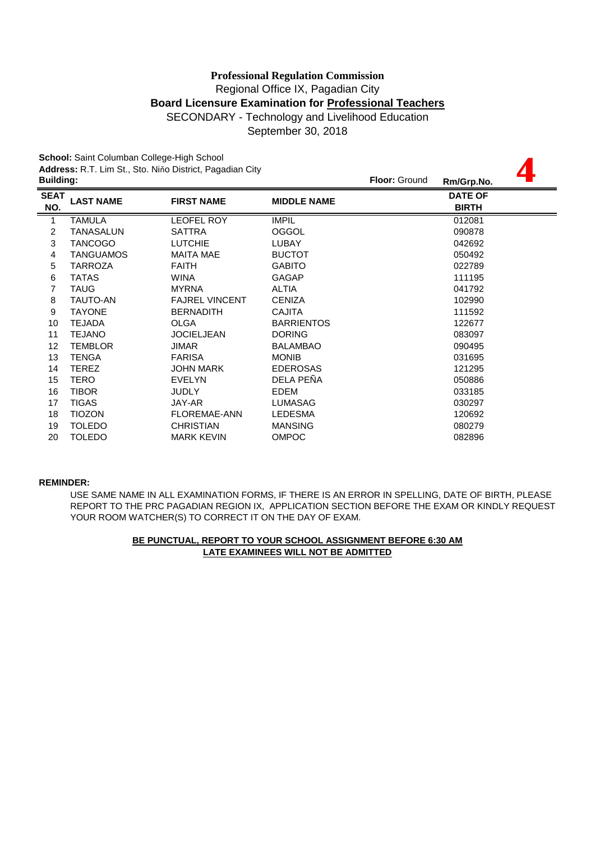# **Board Licensure Examination for Professional Teachers** SECONDARY - Technology and Livelihood Education **Professional Regulation Commission** Regional Office IX, Pagadian City

September 30, 2018

**4**

**School:** Saint Columban College-High School

**Address:** R.T. Lim St., Sto. Niňo District, Pagadian City

| <b>Building:</b>   |                  |                       |                    | <b>Floor: Ground</b> | Rm/Grp.No.                     |  |
|--------------------|------------------|-----------------------|--------------------|----------------------|--------------------------------|--|
| <b>SEAT</b><br>NO. | <b>LAST NAME</b> | <b>FIRST NAME</b>     | <b>MIDDLE NAME</b> |                      | <b>DATE OF</b><br><b>BIRTH</b> |  |
| 1                  | <b>TAMULA</b>    | <b>LEOFEL ROY</b>     | <b>IMPIL</b>       |                      | 012081                         |  |
| $\overline{2}$     | TANASALUN        | <b>SATTRA</b>         | <b>OGGOL</b>       |                      | 090878                         |  |
| 3                  | <b>TANCOGO</b>   | <b>LUTCHIE</b>        | <b>LUBAY</b>       |                      | 042692                         |  |
| $\overline{4}$     | <b>TANGUAMOS</b> | <b>MAITA MAE</b>      | <b>BUCTOT</b>      |                      | 050492                         |  |
| 5                  | <b>TARROZA</b>   | <b>FAITH</b>          | <b>GABITO</b>      |                      | 022789                         |  |
| 6                  | <b>TATAS</b>     | <b>WINA</b>           | <b>GAGAP</b>       |                      | 111195                         |  |
| 7                  | <b>TAUG</b>      | <b>MYRNA</b>          | <b>ALTIA</b>       |                      | 041792                         |  |
| 8                  | <b>TAUTO-AN</b>  | <b>FAJREL VINCENT</b> | <b>CENIZA</b>      |                      | 102990                         |  |
| 9                  | <b>TAYONE</b>    | <b>BERNADITH</b>      | <b>CAJITA</b>      |                      | 111592                         |  |
| 10                 | <b>TEJADA</b>    | <b>OLGA</b>           | <b>BARRIENTOS</b>  |                      | 122677                         |  |
| 11                 | <b>TEJANO</b>    | <b>JOCIELJEAN</b>     | <b>DORING</b>      |                      | 083097                         |  |
| 12                 | <b>TEMBLOR</b>   | JIMAR                 | <b>BALAMBAO</b>    |                      | 090495                         |  |
| 13                 | <b>TENGA</b>     | <b>FARISA</b>         | <b>MONIB</b>       |                      | 031695                         |  |
| 14                 | <b>TEREZ</b>     | <b>JOHN MARK</b>      | <b>EDEROSAS</b>    |                      | 121295                         |  |
| 15                 | <b>TERO</b>      | <b>EVELYN</b>         | DELA PEÑA          |                      | 050886                         |  |
| 16                 | <b>TIBOR</b>     | <b>JUDLY</b>          | <b>EDEM</b>        |                      | 033185                         |  |
| 17                 | <b>TIGAS</b>     | JAY-AR                | <b>LUMASAG</b>     |                      | 030297                         |  |
| 18                 | <b>TIOZON</b>    | <b>FLOREMAE-ANN</b>   | <b>LEDESMA</b>     |                      | 120692                         |  |
| 19                 | <b>TOLEDO</b>    | <b>CHRISTIAN</b>      | <b>MANSING</b>     |                      | 080279                         |  |
| 20                 | <b>TOLEDO</b>    | <b>MARK KEVIN</b>     | <b>OMPOC</b>       |                      | 082896                         |  |
|                    |                  |                       |                    |                      |                                |  |

#### **REMINDER:**

USE SAME NAME IN ALL EXAMINATION FORMS, IF THERE IS AN ERROR IN SPELLING, DATE OF BIRTH, PLEASE REPORT TO THE PRC PAGADIAN REGION IX, APPLICATION SECTION BEFORE THE EXAM OR KINDLY REQUEST YOUR ROOM WATCHER(S) TO CORRECT IT ON THE DAY OF EXAM.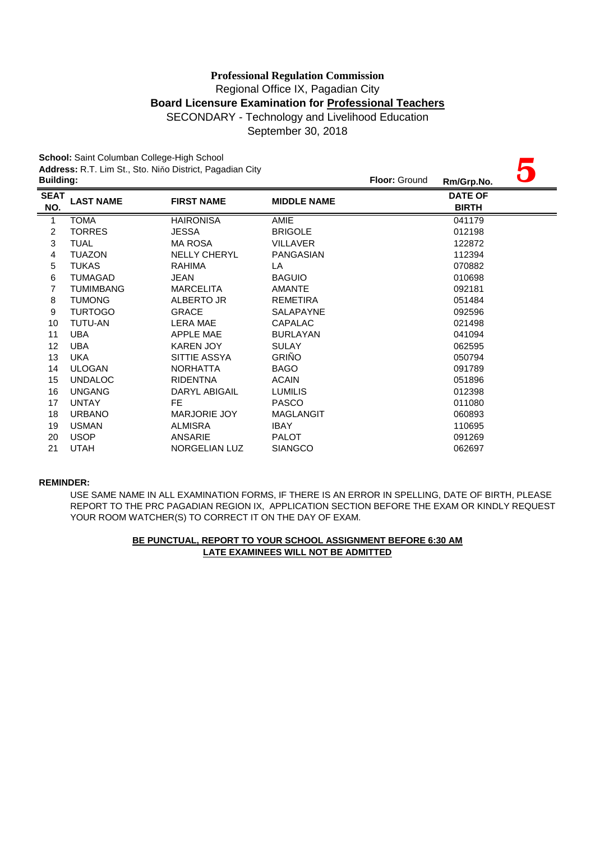# SECONDARY - Technology and Livelihood Education **Professional Regulation Commission** Regional Office IX, Pagadian City **Board Licensure Examination for Professional Teachers**

September 30, 2018

**School:** Saint Columban College-High School

|                  | School: Saint Columban College-High School |                                                          |                    |               |                |  |  |
|------------------|--------------------------------------------|----------------------------------------------------------|--------------------|---------------|----------------|--|--|
|                  |                                            | Address: R.T. Lim St., Sto. Niňo District, Pagadian City |                    |               |                |  |  |
| <b>Building:</b> |                                            |                                                          |                    | Floor: Ground | Rm/Grp.No.     |  |  |
| <b>SEAT</b>      | <b>LAST NAME</b>                           | <b>FIRST NAME</b>                                        | <b>MIDDLE NAME</b> |               | <b>DATE OF</b> |  |  |
| NO.              |                                            |                                                          |                    |               | <b>BIRTH</b>   |  |  |
| $\mathbf{1}$     | <b>TOMA</b>                                | <b>HAIRONISA</b>                                         | <b>AMIE</b>        |               | 041179         |  |  |
| 2                | <b>TORRES</b>                              | JESSA                                                    | <b>BRIGOLE</b>     |               | 012198         |  |  |
| 3                | <b>TUAL</b>                                | <b>MA ROSA</b>                                           | <b>VILLAVER</b>    |               | 122872         |  |  |
| 4                | <b>TUAZON</b>                              | <b>NELLY CHERYL</b>                                      | <b>PANGASIAN</b>   |               | 112394         |  |  |
| 5                | <b>TUKAS</b>                               | <b>RAHIMA</b>                                            | LA                 |               | 070882         |  |  |
| 6                | <b>TUMAGAD</b>                             | <b>JEAN</b>                                              | <b>BAGUIO</b>      |               | 010698         |  |  |
| 7                | <b>TUMIMBANG</b>                           | <b>MARCELITA</b>                                         | <b>AMANTE</b>      |               | 092181         |  |  |
| 8                | <b>TUMONG</b>                              | ALBERTO JR                                               | <b>REMETIRA</b>    |               | 051484         |  |  |
| 9                | <b>TURTOGO</b>                             | <b>GRACE</b>                                             | <b>SALAPAYNE</b>   |               | 092596         |  |  |
| 10               | <b>TUTU-AN</b>                             | LERA MAE                                                 | CAPALAC            |               | 021498         |  |  |
| 11               | <b>UBA</b>                                 | APPLE MAE                                                | <b>BURLAYAN</b>    |               | 041094         |  |  |
| 12               | <b>UBA</b>                                 | <b>KAREN JOY</b>                                         | <b>SULAY</b>       |               | 062595         |  |  |
| 13               | <b>UKA</b>                                 | SITTIE ASSYA                                             | <b>GRIÑO</b>       |               | 050794         |  |  |
| 14               | <b>ULOGAN</b>                              | <b>NORHATTA</b>                                          | <b>BAGO</b>        |               | 091789         |  |  |
| 15               | <b>UNDALOC</b>                             | <b>RIDENTNA</b>                                          | <b>ACAIN</b>       |               | 051896         |  |  |
| 16               | <b>UNGANG</b>                              | DARYL ABIGAIL                                            | <b>LUMILIS</b>     |               | 012398         |  |  |
| 17               | <b>UNTAY</b>                               | FE.                                                      | <b>PASCO</b>       |               | 011080         |  |  |
| 18               | <b>URBANO</b>                              | <b>MARJORIE JOY</b>                                      | <b>MAGLANGIT</b>   |               | 060893         |  |  |
| 19               | <b>USMAN</b>                               | <b>ALMISRA</b>                                           | <b>IBAY</b>        |               | 110695         |  |  |
| 20               | <b>USOP</b>                                | ANSARIE                                                  | <b>PALOT</b>       |               | 091269         |  |  |
| 21               | <b>UTAH</b>                                | <b>NORGELIAN LUZ</b>                                     | <b>SIANGCO</b>     |               | 062697         |  |  |

#### **REMINDER:**

USE SAME NAME IN ALL EXAMINATION FORMS, IF THERE IS AN ERROR IN SPELLING, DATE OF BIRTH, PLEASE REPORT TO THE PRC PAGADIAN REGION IX, APPLICATION SECTION BEFORE THE EXAM OR KINDLY REQUEST YOUR ROOM WATCHER(S) TO CORRECT IT ON THE DAY OF EXAM.